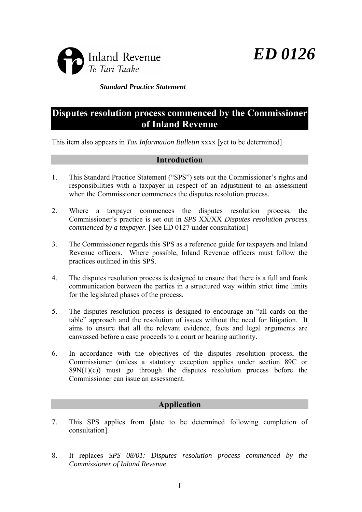

*ED 0126* 

*Standard Practice Statement*

# **Disputes resolution process commenced by the Commissioner of Inland Revenue**

This item also appears in *Tax Information Bulletin* xxxx [yet to be determined]

# **Introduction**

- 1. This Standard Practice Statement ("SPS") sets out the Commissioner's rights and responsibilities with a taxpayer in respect of an adjustment to an assessment when the Commissioner commences the disputes resolution process.
- 2. Where a taxpayer commences the disputes resolution process, the Commissioner's practice is set out in *SPS* XX/XX *Disputes resolution process commenced by a taxpayer.* [See ED 0127 under consultation]
- 3. The Commissioner regards this SPS as a reference guide for taxpayers and Inland Revenue officers. Where possible, Inland Revenue officers must follow the practices outlined in this SPS.
- 4. The disputes resolution process is designed to ensure that there is a full and frank communication between the parties in a structured way within strict time limits for the legislated phases of the process.
- 5. The disputes resolution process is designed to encourage an "all cards on the table" approach and the resolution of issues without the need for litigation. It aims to ensure that all the relevant evidence, facts and legal arguments are canvassed before a case proceeds to a court or hearing authority.
- 6. In accordance with the objectives of the disputes resolution process, the Commissioner (unless a statutory exception applies under section 89C or  $89N(1)(c)$  must go through the disputes resolution process before the Commissioner can issue an assessment.

# **Application**

- 7. This SPS applies from [date to be determined following completion of consultation].
- 8. It replaces *SPS 08/01: Disputes resolution process commenced by the Commissioner of Inland Revenue*.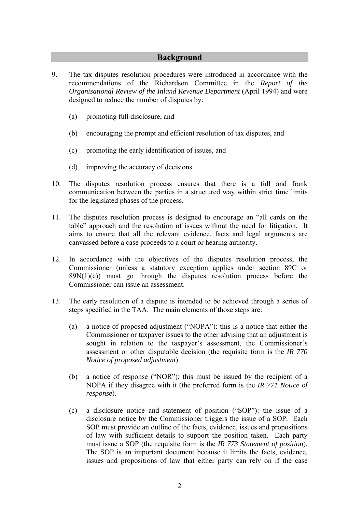# **Background**

- 9. The tax disputes resolution procedures were introduced in accordance with the recommendations of the Richardson Committee in the *Report of the Organisational Review of the Inland Revenue Department* (April 1994) and were designed to reduce the number of disputes by:
	- (a) promoting full disclosure, and
	- (b) encouraging the prompt and efficient resolution of tax disputes, and
	- (c) promoting the early identification of issues, and
	- (d) improving the accuracy of decisions.
- 10. The disputes resolution process ensures that there is a full and frank communication between the parties in a structured way within strict time limits for the legislated phases of the process.
- 11. The disputes resolution process is designed to encourage an "all cards on the table" approach and the resolution of issues without the need for litigation. It aims to ensure that all the relevant evidence, facts and legal arguments are canvassed before a case proceeds to a court or hearing authority.
- 12. In accordance with the objectives of the disputes resolution process, the Commissioner (unless a statutory exception applies under section 89C or  $89N(1)(c)$  must go through the disputes resolution process before the Commissioner can issue an assessment.
- 13. The early resolution of a dispute is intended to be achieved through a series of steps specified in the TAA. The main elements of those steps are:
	- (a) a notice of proposed adjustment ("NOPA"): this is a notice that either the Commissioner or taxpayer issues to the other advising that an adjustment is sought in relation to the taxpayer's assessment, the Commissioner's assessment or other disputable decision (the requisite form is the *IR 770 Notice of proposed adjustment*).
	- (b) a notice of response ("NOR"): this must be issued by the recipient of a NOPA if they disagree with it (the preferred form is the *IR 771 Notice of response*).
	- (c) a disclosure notice and statement of position ("SOP"): the issue of a disclosure notice by the Commissioner triggers the issue of a SOP. Each SOP must provide an outline of the facts, evidence, issues and propositions of law with sufficient details to support the position taken. Each party must issue a SOP (the requisite form is the *IR 773 Statement of position*). The SOP is an important document because it limits the facts, evidence, issues and propositions of law that either party can rely on if the case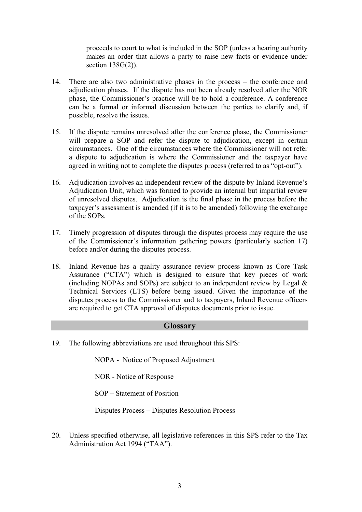proceeds to court to what is included in the SOP (unless a hearing authority makes an order that allows a party to raise new facts or evidence under section 138G(2)).

- 14. There are also two administrative phases in the process the conference and adjudication phases. If the dispute has not been already resolved after the NOR phase, the Commissioner's practice will be to hold a conference. A conference can be a formal or informal discussion between the parties to clarify and, if possible, resolve the issues.
- 15. If the dispute remains unresolved after the conference phase, the Commissioner will prepare a SOP and refer the dispute to adjudication, except in certain circumstances. One of the circumstances where the Commissioner will not refer a dispute to adjudication is where the Commissioner and the taxpayer have agreed in writing not to complete the disputes process (referred to as "opt-out").
- 16. Adjudication involves an independent review of the dispute by Inland Revenue's Adjudication Unit, which was formed to provide an internal but impartial review of unresolved disputes. Adjudication is the final phase in the process before the taxpayer's assessment is amended (if it is to be amended) following the exchange of the SOPs.
- 17. Timely progression of disputes through the disputes process may require the use of the Commissioner's information gathering powers (particularly section 17) before and/or during the disputes process.
- 18. Inland Revenue has a quality assurance review process known as Core Task Assurance ("CTA") which is designed to ensure that key pieces of work (including NOPAs and SOPs) are subject to an independent review by Legal  $\&$ Technical Services (LTS) before being issued. Given the importance of the disputes process to the Commissioner and to taxpayers, Inland Revenue officers are required to get CTA approval of disputes documents prior to issue.

# **Glossary**

19. The following abbreviations are used throughout this SPS:

NOPA - Notice of Proposed Adjustment

NOR - Notice of Response

SOP – Statement of Position

Disputes Process – Disputes Resolution Process

20. Unless specified otherwise, all legislative references in this SPS refer to the Tax Administration Act 1994 ("TAA").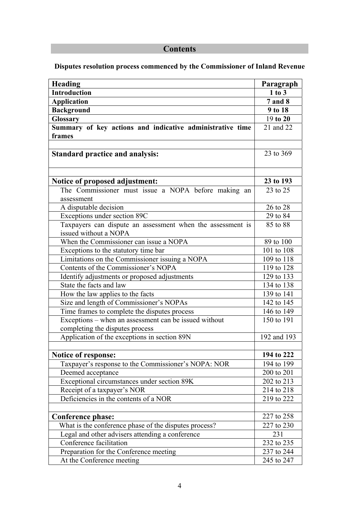# **Contents**

# **Disputes resolution process commenced by the Commissioner of Inland Revenue**

| Heading                                                                                  | Paragraph      |
|------------------------------------------------------------------------------------------|----------------|
| <b>Introduction</b>                                                                      | $1$ to $3$     |
| <b>Application</b>                                                                       | <b>7</b> and 8 |
| <b>Background</b>                                                                        | 9 to 18        |
| <b>Glossary</b>                                                                          | 19 to 20       |
| Summary of key actions and indicative administrative time<br>frames                      | 21 and 22      |
| <b>Standard practice and analysis:</b>                                                   | 23 to 369      |
| Notice of proposed adjustment:                                                           | 23 to 193      |
| The Commissioner must issue a NOPA before making an                                      | 23 to 25       |
| assessment                                                                               |                |
| A disputable decision                                                                    | 26 to 28       |
| Exceptions under section 89C                                                             | 29 to 84       |
| Taxpayers can dispute an assessment when the assessment is<br>issued without a NOPA      | 85 to 88       |
| When the Commissioner can issue a NOPA                                                   | 89 to 100      |
| Exceptions to the statutory time bar                                                     | 101 to 108     |
| Limitations on the Commissioner issuing a NOPA                                           | 109 to 118     |
| Contents of the Commissioner's NOPA                                                      | 119 to 128     |
| Identify adjustments or proposed adjustments                                             | 129 to 133     |
| State the facts and law                                                                  | 134 to 138     |
| How the law applies to the facts                                                         | 139 to 141     |
| Size and length of Commissioner's NOPAs                                                  | 142 to 145     |
| Time frames to complete the disputes process                                             | 146 to 149     |
| Exceptions – when an assessment can be issued without<br>completing the disputes process | 150 to 191     |
| Application of the exceptions in section 89N                                             | 192 and 193    |
| <b>Notice of response:</b>                                                               | 194 to 222     |
| Taxpayer's response to the Commissioner's NOPA: NOR                                      | 194 to 199     |
| Deemed acceptance                                                                        | 200 to 201     |
| Exceptional circumstances under section 89K                                              | 202 to 213     |
| Receipt of a taxpayer's NOR                                                              | 214 to 218     |
| Deficiencies in the contents of a NOR                                                    | 219 to 222     |
|                                                                                          |                |
| <b>Conference phase:</b>                                                                 | 227 to 258     |
| What is the conference phase of the disputes process?                                    | 227 to 230     |
| Legal and other advisers attending a conference                                          | 231            |
| Conference facilitation                                                                  | 232 to 235     |
| Preparation for the Conference meeting                                                   | 237 to 244     |
| At the Conference meeting                                                                | 245 to 247     |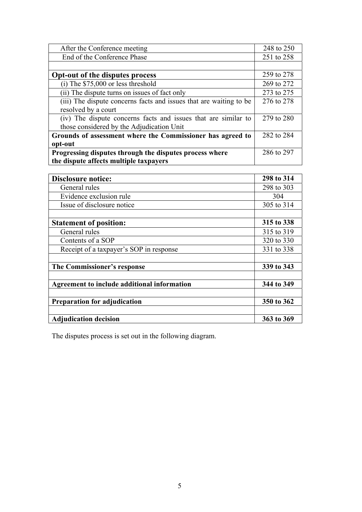| After the Conference meeting                                       | 248 to 250 |
|--------------------------------------------------------------------|------------|
| End of the Conference Phase                                        | 251 to 258 |
|                                                                    |            |
| Opt-out of the disputes process                                    | 259 to 278 |
| $(i)$ The \$75,000 or less threshold                               | 269 to 272 |
| (ii) The dispute turns on issues of fact only                      | 273 to 275 |
| (iii) The dispute concerns facts and issues that are waiting to be | 276 to 278 |
| resolved by a court                                                |            |
| (iv) The dispute concerns facts and issues that are similar to     | 279 to 280 |
| those considered by the Adjudication Unit                          |            |
| Grounds of assessment where the Commissioner has agreed to         | 282 to 284 |
| opt-out                                                            |            |
| Progressing disputes through the disputes process where            | 286 to 297 |
| the dispute affects multiple taxpayers                             |            |

| <b>Disclosure notice:</b>                   | 298 to 314 |
|---------------------------------------------|------------|
| General rules                               | 298 to 303 |
| Evidence exclusion rule                     | 304        |
| Issue of disclosure notice                  | 305 to 314 |
|                                             |            |
| <b>Statement of position:</b>               | 315 to 338 |
| General rules                               | 315 to 319 |
| Contents of a SOP                           | 320 to 330 |
| Receipt of a taxpayer's SOP in response     | 331 to 338 |
|                                             |            |
| The Commissioner's response                 | 339 to 343 |
|                                             |            |
| Agreement to include additional information | 344 to 349 |
|                                             |            |
| <b>Preparation for adjudication</b>         | 350 to 362 |
|                                             |            |
| <b>Adjudication decision</b>                | 363 to 369 |

The disputes process is set out in the following diagram.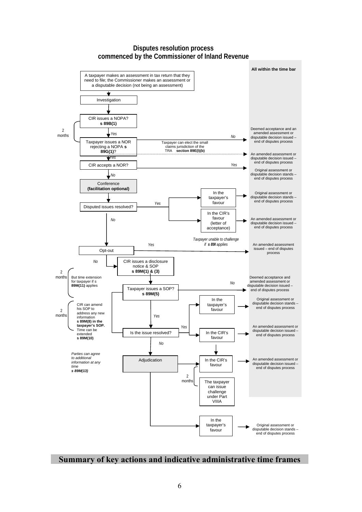#### **Disputes resolution process commenced by the Commissioner of Inland Revenue**



# **Summary of key actions and indicative administrative time frames**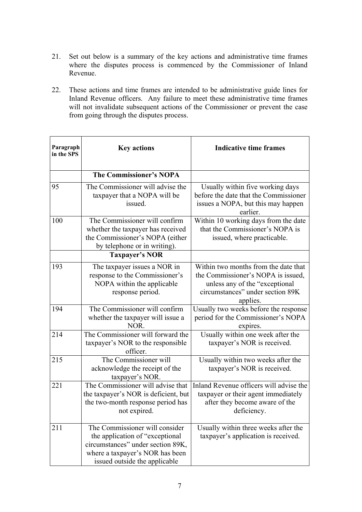- 21. Set out below is a summary of the key actions and administrative time frames where the disputes process is commenced by the Commissioner of Inland Revenue.
- 22. These actions and time frames are intended to be administrative guide lines for Inland Revenue officers. Any failure to meet these administrative time frames will not invalidate subsequent actions of the Commissioner or prevent the case from going through the disputes process.

| Paragraph<br>in the SPS | <b>Key actions</b>                                                                                                                                                         | <b>Indicative time frames</b>                                                                                                                                 |
|-------------------------|----------------------------------------------------------------------------------------------------------------------------------------------------------------------------|---------------------------------------------------------------------------------------------------------------------------------------------------------------|
|                         | <b>The Commissioner's NOPA</b>                                                                                                                                             |                                                                                                                                                               |
| 95                      | The Commissioner will advise the<br>taxpayer that a NOPA will be<br>issued.                                                                                                | Usually within five working days<br>before the date that the Commissioner<br>issues a NOPA, but this may happen<br>earlier.                                   |
| 100                     | The Commissioner will confirm<br>whether the taxpayer has received<br>the Commissioner's NOPA (either<br>by telephone or in writing).                                      | Within 10 working days from the date<br>that the Commissioner's NOPA is<br>issued, where practicable.                                                         |
|                         | <b>Taxpayer's NOR</b>                                                                                                                                                      |                                                                                                                                                               |
| 193                     | The taxpayer issues a NOR in<br>response to the Commissioner's<br>NOPA within the applicable<br>response period.                                                           | Within two months from the date that<br>the Commissioner's NOPA is issued,<br>unless any of the "exceptional"<br>circumstances" under section 89K<br>applies. |
| 194                     | The Commissioner will confirm<br>whether the taxpayer will issue a<br>NOR.                                                                                                 | Usually two weeks before the response<br>period for the Commissioner's NOPA<br>expires.                                                                       |
| 214                     | The Commissioner will forward the<br>taxpayer's NOR to the responsible<br>officer.                                                                                         | Usually within one week after the<br>taxpayer's NOR is received.                                                                                              |
| 215                     | The Commissioner will<br>acknowledge the receipt of the<br>taxpayer's NOR.                                                                                                 | Usually within two weeks after the<br>taxpayer's NOR is received.                                                                                             |
| 221                     | The Commissioner will advise that<br>the taxpayer's NOR is deficient, but<br>the two-month response period has<br>not expired.                                             | Inland Revenue officers will advise the<br>taxpayer or their agent immediately<br>after they become aware of the<br>deficiency.                               |
| 211                     | The Commissioner will consider<br>the application of "exceptional<br>circumstances" under section 89K,<br>where a taxpayer's NOR has been<br>issued outside the applicable | Usually within three weeks after the<br>taxpayer's application is received.                                                                                   |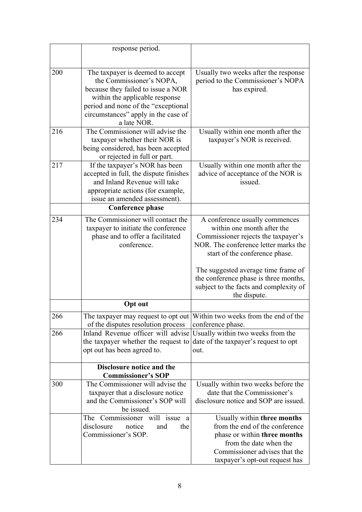|     | response period.                                                                                                                                                                                                                  |                                                                                                                                                                                                                                                               |
|-----|-----------------------------------------------------------------------------------------------------------------------------------------------------------------------------------------------------------------------------------|---------------------------------------------------------------------------------------------------------------------------------------------------------------------------------------------------------------------------------------------------------------|
| 200 | The taxpayer is deemed to accept<br>the Commissioner's NOPA,<br>because they failed to issue a NOR<br>within the applicable response<br>period and none of the "exceptional<br>circumstances" apply in the case of<br>a late NOR. | Usually two weeks after the response<br>period to the Commissioner's NOPA<br>has expired.                                                                                                                                                                     |
| 216 | The Commissioner will advise the<br>taxpayer whether their NOR is<br>being considered, has been accepted<br>or rejected in full or part.                                                                                          | Usually within one month after the<br>taxpayer's NOR is received.                                                                                                                                                                                             |
| 217 | If the taxpayer's NOR has been<br>accepted in full, the dispute finishes<br>and Inland Revenue will take<br>appropriate actions (for example,<br>issue an amended assessment).                                                    | Usually within one month after the<br>advice of acceptance of the NOR is<br>issued.                                                                                                                                                                           |
|     | <b>Conference phase</b>                                                                                                                                                                                                           |                                                                                                                                                                                                                                                               |
| 234 | The Commissioner will contact the<br>taxpayer to initiate the conference<br>phase and to offer a facilitated<br>conference.                                                                                                       | A conference usually commences<br>within one month after the<br>Commissioner rejects the taxpayer's<br>NOR. The conference letter marks the<br>start of the conference phase.<br>The suggested average time frame of<br>the conference phase is three months, |
|     |                                                                                                                                                                                                                                   | subject to the facts and complexity of<br>the dispute.                                                                                                                                                                                                        |
|     | <b>Opt out</b>                                                                                                                                                                                                                    |                                                                                                                                                                                                                                                               |
| 266 | of the disputes resolution process                                                                                                                                                                                                | The taxpayer may request to opt out Within two weeks from the end of the<br>conference phase.                                                                                                                                                                 |
| 266 | Inland Revenue officer will advise Usually within two weeks from the<br>the taxpayer whether the request to<br>opt out has been agreed to.                                                                                        | date of the taxpayer's request to opt<br>out.                                                                                                                                                                                                                 |
|     | Disclosure notice and the<br><b>Commissioner's SOP</b>                                                                                                                                                                            |                                                                                                                                                                                                                                                               |
| 300 | The Commissioner will advise the<br>taxpayer that a disclosure notice<br>and the Commissioner's SOP will<br>be issued.                                                                                                            | Usually within two weeks before the<br>date that the Commissioner's<br>disclosure notice and SOP are issued.                                                                                                                                                  |
|     | The Commissioner will issue a<br>disclosure<br>notice<br>the<br>and<br>Commissioner's SOP.                                                                                                                                        | Usually within three months<br>from the end of the conference<br>phase or within three months<br>from the date when the<br>Commissioner advises that the<br>taxpayer's opt-out request has                                                                    |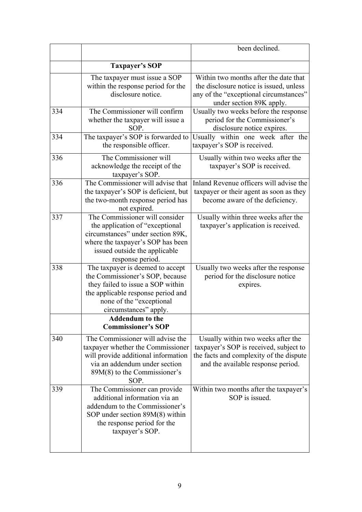|     |                                                                                                                                                                                                     | been declined.                                                                                                                                                |
|-----|-----------------------------------------------------------------------------------------------------------------------------------------------------------------------------------------------------|---------------------------------------------------------------------------------------------------------------------------------------------------------------|
|     | <b>Taxpayer's SOP</b>                                                                                                                                                                               |                                                                                                                                                               |
|     | The taxpayer must issue a SOP<br>within the response period for the<br>disclosure notice.                                                                                                           | Within two months after the date that<br>the disclosure notice is issued, unless<br>any of the "exceptional circumstances"<br>under section 89K apply.        |
| 334 | The Commissioner will confirm<br>whether the taxpayer will issue a<br>SOP.                                                                                                                          | Usually two weeks before the response<br>period for the Commissioner's<br>disclosure notice expires.                                                          |
| 334 | The taxpayer's SOP is forwarded to<br>the responsible officer.                                                                                                                                      | Usually within one week after the<br>taxpayer's SOP is received.                                                                                              |
| 336 | The Commissioner will<br>acknowledge the receipt of the<br>taxpayer's SOP.                                                                                                                          | Usually within two weeks after the<br>taxpayer's SOP is received.                                                                                             |
| 336 | The Commissioner will advise that<br>the taxpayer's SOP is deficient, but<br>the two-month response period has<br>not expired.                                                                      | Inland Revenue officers will advise the<br>taxpayer or their agent as soon as they<br>become aware of the deficiency.                                         |
| 337 | The Commissioner will consider<br>the application of "exceptional"<br>circumstances" under section 89K,<br>where the taxpayer's SOP has been<br>issued outside the applicable<br>response period.   | Usually within three weeks after the<br>taxpayer's application is received.                                                                                   |
| 338 | The taxpayer is deemed to accept<br>the Commissioner's SOP, because<br>they failed to issue a SOP within<br>the applicable response period and<br>none of the "exceptional<br>circumstances" apply. | Usually two weeks after the response<br>period for the disclosure notice<br>expires.                                                                          |
|     | <b>Addendum</b> to the<br><b>Commissioner's SOP</b>                                                                                                                                                 |                                                                                                                                                               |
| 340 | The Commissioner will advise the<br>taxpayer whether the Commissioner<br>will provide additional information<br>via an addendum under section<br>$89M(8)$ to the Commissioner's<br>SOP.             | Usually within two weeks after the<br>taxpayer's SOP is received, subject to<br>the facts and complexity of the dispute<br>and the available response period. |
| 339 | The Commissioner can provide<br>additional information via an<br>addendum to the Commissioner's<br>SOP under section $89M(8)$ within<br>the response period for the<br>taxpayer's SOP.              | Within two months after the taxpayer's<br>SOP is issued.                                                                                                      |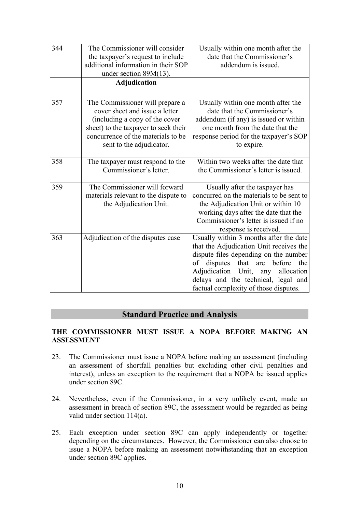| 344 | The Commissioner will consider       | Usually within one month after the         |
|-----|--------------------------------------|--------------------------------------------|
|     | the taxpayer's request to include    | date that the Commissioner's               |
|     | additional information in their SOP  | addendum is issued.                        |
|     | under section $89M(13)$ .            |                                            |
|     | <b>Adjudication</b>                  |                                            |
|     |                                      |                                            |
| 357 | The Commissioner will prepare a      | Usually within one month after the         |
|     | cover sheet and issue a letter       | date that the Commissioner's               |
|     | (including a copy of the cover       | addendum (if any) is issued or within      |
|     | sheet) to the taxpayer to seek their | one month from the date that the           |
|     | concurrence of the materials to be   | response period for the taxpayer's SOP     |
|     | sent to the adjudicator.             | to expire.                                 |
| 358 | The taxpayer must respond to the     | Within two weeks after the date that       |
|     | Commissioner's letter.               | the Commissioner's letter is issued.       |
|     |                                      |                                            |
| 359 | The Commissioner will forward        | Usually after the taxpayer has             |
|     | materials relevant to the dispute to | concurred on the materials to be sent to   |
|     | the Adjudication Unit.               | the Adjudication Unit or within 10         |
|     |                                      | working days after the date that the       |
|     |                                      | Commissioner's letter is issued if no      |
|     |                                      | response is received.                      |
| 363 | Adjudication of the disputes case    | Usually within 3 months after the date     |
|     |                                      | that the Adjudication Unit receives the    |
|     |                                      | dispute files depending on the number      |
|     |                                      | of disputes that are before<br>the         |
|     |                                      | Adjudication<br>Unit,<br>allocation<br>any |
|     |                                      | delays and the technical, legal and        |
|     |                                      | factual complexity of those disputes.      |

# **Standard Practice and Analysis**

# **THE COMMISSIONER MUST ISSUE A NOPA BEFORE MAKING AN ASSESSMENT**

- 23. The Commissioner must issue a NOPA before making an assessment (including an assessment of shortfall penalties but excluding other civil penalties and interest), unless an exception to the requirement that a NOPA be issued applies under section 89C.
- 24. Nevertheless, even if the Commissioner, in a very unlikely event, made an assessment in breach of section 89C, the assessment would be regarded as being valid under section 114(a).
- 25. Each exception under section 89C can apply independently or together depending on the circumstances. However, the Commissioner can also choose to issue a NOPA before making an assessment notwithstanding that an exception under section 89C applies.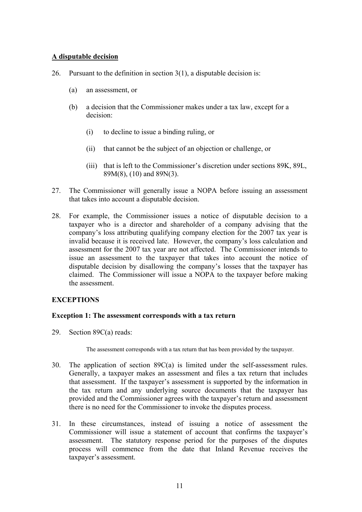# **A disputable decision**

- 26. Pursuant to the definition in section  $3(1)$ , a disputable decision is:
	- (a) an assessment, or
	- (b) a decision that the Commissioner makes under a tax law, except for a decision:
		- (i) to decline to issue a binding ruling, or
		- (ii) that cannot be the subject of an objection or challenge, or
		- (iii) that is left to the Commissioner's discretion under sections 89K, 89L, 89M(8), (10) and 89N(3).
- 27. The Commissioner will generally issue a NOPA before issuing an assessment that takes into account a disputable decision.
- 28. For example, the Commissioner issues a notice of disputable decision to a taxpayer who is a director and shareholder of a company advising that the company's loss attributing qualifying company election for the 2007 tax year is invalid because it is received late. However, the company's loss calculation and assessment for the 2007 tax year are not affected. The Commissioner intends to issue an assessment to the taxpayer that takes into account the notice of disputable decision by disallowing the company's losses that the taxpayer has claimed. The Commissioner will issue a NOPA to the taxpayer before making the assessment.

# **EXCEPTIONS**

# **Exception 1: The assessment corresponds with a tax return**

29. Section 89C(a) reads:

The assessment corresponds with a tax return that has been provided by the taxpayer.

- 30. The application of section 89C(a) is limited under the self-assessment rules. Generally, a taxpayer makes an assessment and files a tax return that includes that assessment. If the taxpayer's assessment is supported by the information in the tax return and any underlying source documents that the taxpayer has provided and the Commissioner agrees with the taxpayer's return and assessment there is no need for the Commissioner to invoke the disputes process.
- 31. In these circumstances, instead of issuing a notice of assessment the Commissioner will issue a statement of account that confirms the taxpayer's assessment. The statutory response period for the purposes of the disputes process will commence from the date that Inland Revenue receives the taxpayer's assessment.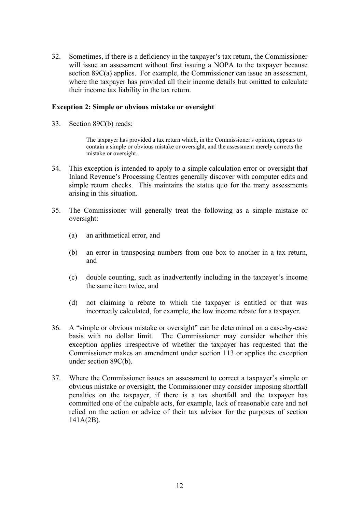32. Sometimes, if there is a deficiency in the taxpayer's tax return, the Commissioner will issue an assessment without first issuing a NOPA to the taxpayer because section 89C(a) applies. For example, the Commissioner can issue an assessment, where the taxpayer has provided all their income details but omitted to calculate their income tax liability in the tax return.

### **Exception 2: Simple or obvious mistake or oversight**

33. Section 89C(b) reads:

The taxpayer has provided a tax return which, in the Commissioner's opinion, appears to contain a simple or obvious mistake or oversight, and the assessment merely corrects the mistake or oversight.

- 34. This exception is intended to apply to a simple calculation error or oversight that Inland Revenue's Processing Centres generally discover with computer edits and simple return checks. This maintains the status quo for the many assessments arising in this situation.
- 35. The Commissioner will generally treat the following as a simple mistake or oversight:
	- (a) an arithmetical error, and
	- (b) an error in transposing numbers from one box to another in a tax return, and
	- (c) double counting, such as inadvertently including in the taxpayer's income the same item twice, and
	- (d) not claiming a rebate to which the taxpayer is entitled or that was incorrectly calculated, for example, the low income rebate for a taxpayer.
- 36. A "simple or obvious mistake or oversight" can be determined on a case-by-case basis with no dollar limit. The Commissioner may consider whether this exception applies irrespective of whether the taxpayer has requested that the Commissioner makes an amendment under section 113 or applies the exception under section 89C(b).
- 37. Where the Commissioner issues an assessment to correct a taxpayer's simple or obvious mistake or oversight, the Commissioner may consider imposing shortfall penalties on the taxpayer, if there is a tax shortfall and the taxpayer has committed one of the culpable acts, for example, lack of reasonable care and not relied on the action or advice of their tax advisor for the purposes of section 141A(2B).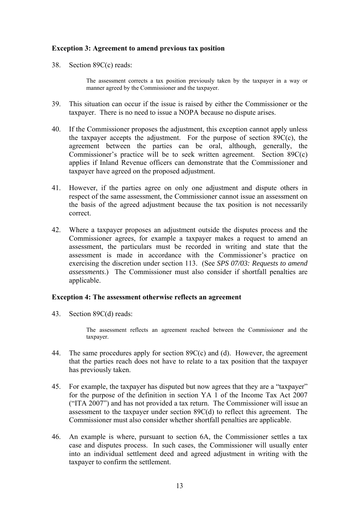# **Exception 3: Agreement to amend previous tax position**

38. Section 89C(c) reads:

The assessment corrects a tax position previously taken by the taxpayer in a way or manner agreed by the Commissioner and the taxpayer.

- 39. This situation can occur if the issue is raised by either the Commissioner or the taxpayer. There is no need to issue a NOPA because no dispute arises.
- 40. If the Commissioner proposes the adjustment, this exception cannot apply unless the taxpayer accepts the adjustment. For the purpose of section 89C(c), the agreement between the parties can be oral, although, generally, the Commissioner's practice will be to seek written agreement. Section 89C(c) applies if Inland Revenue officers can demonstrate that the Commissioner and taxpayer have agreed on the proposed adjustment.
- 41. However, if the parties agree on only one adjustment and dispute others in respect of the same assessment, the Commissioner cannot issue an assessment on the basis of the agreed adjustment because the tax position is not necessarily correct.
- 42. Where a taxpayer proposes an adjustment outside the disputes process and the Commissioner agrees, for example a taxpayer makes a request to amend an assessment, the particulars must be recorded in writing and state that the assessment is made in accordance with the Commissioner's practice on exercising the discretion under section 113. (See *SPS 07/03: Requests to amend assessments*.) The Commissioner must also consider if shortfall penalties are applicable.

### **Exception 4: The assessment otherwise reflects an agreement**

43. Section 89C(d) reads:

The assessment reflects an agreement reached between the Commissioner and the taxpayer.

- 44. The same procedures apply for section 89C(c) and (d). However, the agreement that the parties reach does not have to relate to a tax position that the taxpayer has previously taken.
- 45. For example, the taxpayer has disputed but now agrees that they are a "taxpayer" for the purpose of the definition in section YA 1 of the Income Tax Act 2007 ("ITA 2007") and has not provided a tax return. The Commissioner will issue an assessment to the taxpayer under section 89C(d) to reflect this agreement. The Commissioner must also consider whether shortfall penalties are applicable.
- 46. An example is where, pursuant to section 6A, the Commissioner settles a tax case and disputes process. In such cases, the Commissioner will usually enter into an individual settlement deed and agreed adjustment in writing with the taxpayer to confirm the settlement.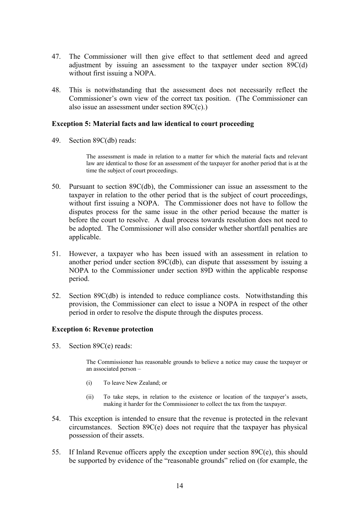- 47. The Commissioner will then give effect to that settlement deed and agreed adjustment by issuing an assessment to the taxpayer under section 89C(d) without first issuing a NOPA.
- 48. This is notwithstanding that the assessment does not necessarily reflect the Commissioner's own view of the correct tax position. (The Commissioner can also issue an assessment under section 89C(c).)

# **Exception 5: Material facts and law identical to court proceeding**

49. Section 89C(db) reads:

The assessment is made in relation to a matter for which the material facts and relevant law are identical to those for an assessment of the taxpayer for another period that is at the time the subject of court proceedings.

- 50. Pursuant to section 89C(db), the Commissioner can issue an assessment to the taxpayer in relation to the other period that is the subject of court proceedings, without first issuing a NOPA. The Commissioner does not have to follow the disputes process for the same issue in the other period because the matter is before the court to resolve. A dual process towards resolution does not need to be adopted. The Commissioner will also consider whether shortfall penalties are applicable.
- 51. However, a taxpayer who has been issued with an assessment in relation to another period under section 89C(db), can dispute that assessment by issuing a NOPA to the Commissioner under section 89D within the applicable response period.
- 52. Section 89C(db) is intended to reduce compliance costs. Notwithstanding this provision, the Commissioner can elect to issue a NOPA in respect of the other period in order to resolve the dispute through the disputes process.

#### **Exception 6: Revenue protection**

53. Section 89C(e) reads:

The Commissioner has reasonable grounds to believe a notice may cause the taxpayer or an associated person –

- (i) To leave New Zealand; or
- (ii) To take steps, in relation to the existence or location of the taxpayer's assets, making it harder for the Commissioner to collect the tax from the taxpayer.
- 54. This exception is intended to ensure that the revenue is protected in the relevant circumstances. Section 89C(e) does not require that the taxpayer has physical possession of their assets.
- 55. If Inland Revenue officers apply the exception under section 89C(e), this should be supported by evidence of the "reasonable grounds" relied on (for example, the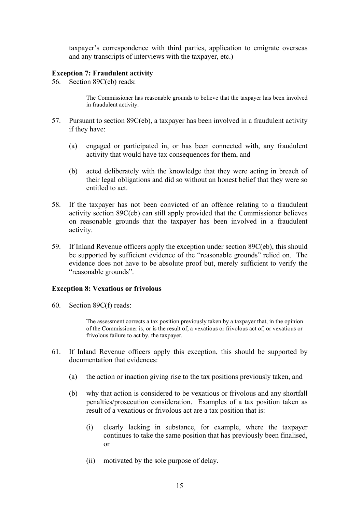taxpayer's correspondence with third parties, application to emigrate overseas and any transcripts of interviews with the taxpayer, etc.)

# **Exception 7: Fraudulent activity**

56. Section 89C(eb) reads:

The Commissioner has reasonable grounds to believe that the taxpayer has been involved in fraudulent activity.

- 57. Pursuant to section 89C(eb), a taxpayer has been involved in a fraudulent activity if they have:
	- (a) engaged or participated in, or has been connected with, any fraudulent activity that would have tax consequences for them, and
	- (b) acted deliberately with the knowledge that they were acting in breach of their legal obligations and did so without an honest belief that they were so entitled to act.
- 58. If the taxpayer has not been convicted of an offence relating to a fraudulent activity section 89C(eb) can still apply provided that the Commissioner believes on reasonable grounds that the taxpayer has been involved in a fraudulent activity.
- 59. If Inland Revenue officers apply the exception under section 89C(eb), this should be supported by sufficient evidence of the "reasonable grounds" relied on. The evidence does not have to be absolute proof but, merely sufficient to verify the "reasonable grounds".

#### **Exception 8: Vexatious or frivolous**

60. Section 89C(f) reads:

The assessment corrects a tax position previously taken by a taxpayer that, in the opinion of the Commissioner is, or is the result of, a vexatious or frivolous act of, or vexatious or frivolous failure to act by, the taxpayer.

- 61. If Inland Revenue officers apply this exception, this should be supported by documentation that evidences:
	- (a) the action or inaction giving rise to the tax positions previously taken, and
	- (b) why that action is considered to be vexatious or frivolous and any shortfall penalties/prosecution consideration. Examples of a tax position taken as result of a vexatious or frivolous act are a tax position that is:
		- (i) clearly lacking in substance, for example, where the taxpayer continues to take the same position that has previously been finalised, or
		- (ii) motivated by the sole purpose of delay.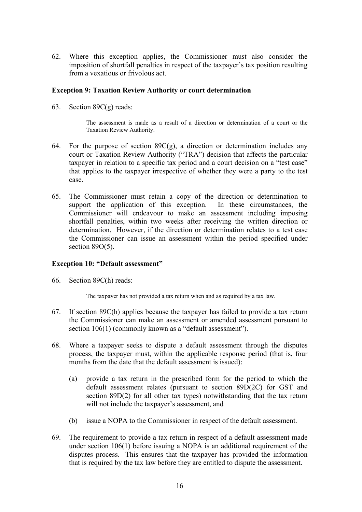62. Where this exception applies, the Commissioner must also consider the imposition of shortfall penalties in respect of the taxpayer's tax position resulting from a vexatious or frivolous act.

# **Exception 9: Taxation Review Authority or court determination**

63. Section 89C(g) reads:

The assessment is made as a result of a direction or determination of a court or the Taxation Review Authority.

- 64. For the purpose of section  $89C(g)$ , a direction or determination includes any court or Taxation Review Authority ("TRA") decision that affects the particular taxpayer in relation to a specific tax period and a court decision on a "test case" that applies to the taxpayer irrespective of whether they were a party to the test case.
- 65. The Commissioner must retain a copy of the direction or determination to support the application of this exception. In these circumstances, the Commissioner will endeavour to make an assessment including imposing shortfall penalties, within two weeks after receiving the written direction or determination. However, if the direction or determination relates to a test case the Commissioner can issue an assessment within the period specified under section 89O(5).

# **Exception 10: "Default assessment"**

66. Section 89C(h) reads:

The taxpayer has not provided a tax return when and as required by a tax law.

- 67. If section 89C(h) applies because the taxpayer has failed to provide a tax return the Commissioner can make an assessment or amended assessment pursuant to section 106(1) (commonly known as a "default assessment").
- 68. Where a taxpayer seeks to dispute a default assessment through the disputes process, the taxpayer must, within the applicable response period (that is, four months from the date that the default assessment is issued):
	- (a) provide a tax return in the prescribed form for the period to which the default assessment relates (pursuant to section 89D(2C) for GST and section 89D(2) for all other tax types) notwithstanding that the tax return will not include the taxpayer's assessment, and
	- (b) issue a NOPA to the Commissioner in respect of the default assessment.
- 69. The requirement to provide a tax return in respect of a default assessment made under section 106(1) before issuing a NOPA is an additional requirement of the disputes process. This ensures that the taxpayer has provided the information that is required by the tax law before they are entitled to dispute the assessment.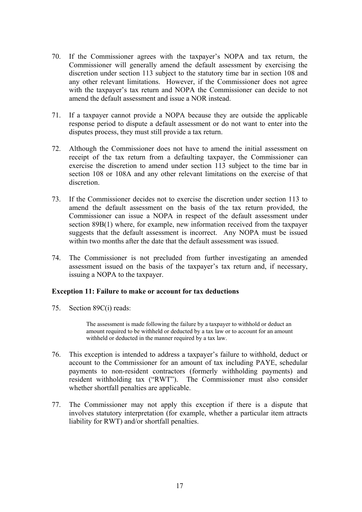- 70. If the Commissioner agrees with the taxpayer's NOPA and tax return, the Commissioner will generally amend the default assessment by exercising the discretion under section 113 subject to the statutory time bar in section 108 and any other relevant limitations. However, if the Commissioner does not agree with the taxpayer's tax return and NOPA the Commissioner can decide to not amend the default assessment and issue a NOR instead.
- 71. If a taxpayer cannot provide a NOPA because they are outside the applicable response period to dispute a default assessment or do not want to enter into the disputes process, they must still provide a tax return.
- 72. Although the Commissioner does not have to amend the initial assessment on receipt of the tax return from a defaulting taxpayer, the Commissioner can exercise the discretion to amend under section 113 subject to the time bar in section 108 or 108A and any other relevant limitations on the exercise of that discretion.
- 73. If the Commissioner decides not to exercise the discretion under section 113 to amend the default assessment on the basis of the tax return provided, the Commissioner can issue a NOPA in respect of the default assessment under section 89B(1) where, for example, new information received from the taxpayer suggests that the default assessment is incorrect. Any NOPA must be issued within two months after the date that the default assessment was issued.
- 74. The Commissioner is not precluded from further investigating an amended assessment issued on the basis of the taxpayer's tax return and, if necessary, issuing a NOPA to the taxpayer.

# **Exception 11: Failure to make or account for tax deductions**

75. Section 89C(i) reads:

The assessment is made following the failure by a taxpayer to withhold or deduct an amount required to be withheld or deducted by a tax law or to account for an amount withheld or deducted in the manner required by a tax law.

- 76. This exception is intended to address a taxpayer's failure to withhold, deduct or account to the Commissioner for an amount of tax including PAYE, schedular payments to non-resident contractors (formerly withholding payments) and resident withholding tax ("RWT"). The Commissioner must also consider whether shortfall penalties are applicable.
- 77. The Commissioner may not apply this exception if there is a dispute that involves statutory interpretation (for example, whether a particular item attracts liability for RWT) and/or shortfall penalties.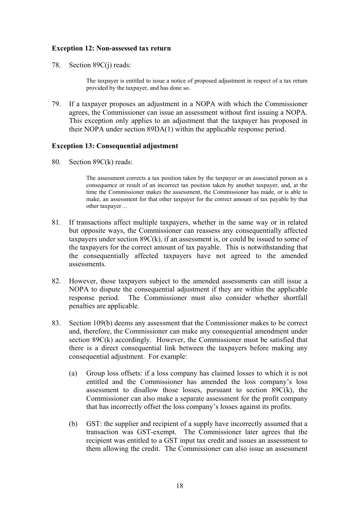# **Exception 12: Non-assessed tax return**

78. Section 89C(j) reads:

The taxpayer is entitled to issue a notice of proposed adjustment in respect of a tax return provided by the taxpayer, and has done so.

79. If a taxpayer proposes an adjustment in a NOPA with which the Commissioner agrees, the Commissioner can issue an assessment without first issuing a NOPA. This exception only applies to an adjustment that the taxpayer has proposed in their NOPA under section 89DA(1) within the applicable response period.

# **Exception 13: Consequential adjustment**

80. Section 89C(k) reads:

The assessment corrects a tax position taken by the taxpayer or an associated person as a consequence or result of an incorrect tax position taken by another taxpayer, and, at the time the Commissioner makes the assessment, the Commissioner has made, or is able to make, an assessment for that other taxpayer for the correct amount of tax payable by that other taxpayer…

- 81. If transactions affect multiple taxpayers, whether in the same way or in related but opposite ways, the Commissioner can reassess any consequentially affected taxpayers under section  $89C(k)$ , if an assessment is, or could be issued to some of the taxpayers for the correct amount of tax payable. This is notwithstanding that the consequentially affected taxpayers have not agreed to the amended assessments.
- 82. However, those taxpayers subject to the amended assessments can still issue a NOPA to dispute the consequential adjustment if they are within the applicable response period. The Commissioner must also consider whether shortfall penalties are applicable.
- 83. Section 109(b) deems any assessment that the Commissioner makes to be correct and, therefore, the Commissioner can make any consequential amendment under section 89C(k) accordingly. However, the Commissioner must be satisfied that there is a direct consequential link between the taxpayers before making any consequential adjustment. For example:
	- (a) Group loss offsets: if a loss company has claimed losses to which it is not entitled and the Commissioner has amended the loss company's loss assessment to disallow those losses, pursuant to section  $89C(k)$ , the Commissioner can also make a separate assessment for the profit company that has incorrectly offset the loss company's losses against its profits.
	- (b) GST: the supplier and recipient of a supply have incorrectly assumed that a transaction was GST-exempt. The Commissioner later agrees that the recipient was entitled to a GST input tax credit and issues an assessment to them allowing the credit. The Commissioner can also issue an assessment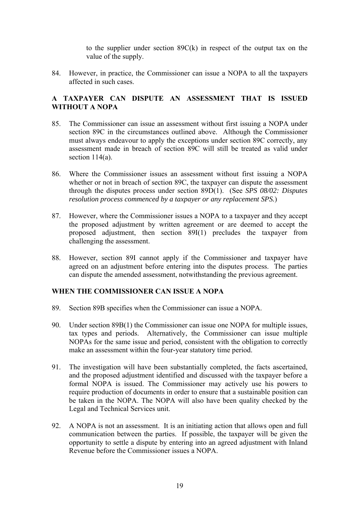to the supplier under section 89C(k) in respect of the output tax on the value of the supply.

84. However, in practice, the Commissioner can issue a NOPA to all the taxpayers affected in such cases.

# **A TAXPAYER CAN DISPUTE AN ASSESSMENT THAT IS ISSUED WITHOUT A NOPA**

- 85. The Commissioner can issue an assessment without first issuing a NOPA under section 89C in the circumstances outlined above. Although the Commissioner must always endeavour to apply the exceptions under section 89C correctly, any assessment made in breach of section 89C will still be treated as valid under section 114(a).
- 86. Where the Commissioner issues an assessment without first issuing a NOPA whether or not in breach of section 89C, the taxpayer can dispute the assessment through the disputes process under section 89D(1). (See *SPS 08/02: Disputes resolution process commenced by a taxpayer or any replacement SPS.*)
- 87. However, where the Commissioner issues a NOPA to a taxpayer and they accept the proposed adjustment by written agreement or are deemed to accept the proposed adjustment, then section 89I(1) precludes the taxpayer from challenging the assessment.
- 88. However, section 89I cannot apply if the Commissioner and taxpayer have agreed on an adjustment before entering into the disputes process. The parties can dispute the amended assessment, notwithstanding the previous agreement.

# **WHEN THE COMMISSIONER CAN ISSUE A NOPA**

- 89. Section 89B specifies when the Commissioner can issue a NOPA.
- 90. Under section 89B(1) the Commissioner can issue one NOPA for multiple issues, tax types and periods. Alternatively, the Commissioner can issue multiple NOPAs for the same issue and period, consistent with the obligation to correctly make an assessment within the four-year statutory time period.
- 91. The investigation will have been substantially completed, the facts ascertained, and the proposed adjustment identified and discussed with the taxpayer before a formal NOPA is issued. The Commissioner may actively use his powers to require production of documents in order to ensure that a sustainable position can be taken in the NOPA. The NOPA will also have been quality checked by the Legal and Technical Services unit.
- 92. A NOPA is not an assessment. It is an initiating action that allows open and full communication between the parties. If possible, the taxpayer will be given the opportunity to settle a dispute by entering into an agreed adjustment with Inland Revenue before the Commissioner issues a NOPA.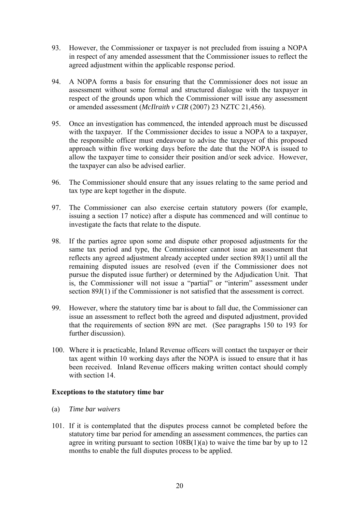- 93. However, the Commissioner or taxpayer is not precluded from issuing a NOPA in respect of any amended assessment that the Commissioner issues to reflect the agreed adjustment within the applicable response period.
- 94. A NOPA forms a basis for ensuring that the Commissioner does not issue an assessment without some formal and structured dialogue with the taxpayer in respect of the grounds upon which the Commissioner will issue any assessment or amended assessment (*McIlraith v CIR* (2007) 23 NZTC 21,456).
- 95. Once an investigation has commenced, the intended approach must be discussed with the taxpayer. If the Commissioner decides to issue a NOPA to a taxpayer, the responsible officer must endeavour to advise the taxpayer of this proposed approach within five working days before the date that the NOPA is issued to allow the taxpayer time to consider their position and/or seek advice. However, the taxpayer can also be advised earlier.
- 96. The Commissioner should ensure that any issues relating to the same period and tax type are kept together in the dispute.
- 97. The Commissioner can also exercise certain statutory powers (for example, issuing a section 17 notice) after a dispute has commenced and will continue to investigate the facts that relate to the dispute.
- 98. If the parties agree upon some and dispute other proposed adjustments for the same tax period and type, the Commissioner cannot issue an assessment that reflects any agreed adjustment already accepted under section 89J(1) until all the remaining disputed issues are resolved (even if the Commissioner does not pursue the disputed issue further) or determined by the Adjudication Unit. That is, the Commissioner will not issue a "partial" or "interim" assessment under section 89J(1) if the Commissioner is not satisfied that the assessment is correct.
- 99. However, where the statutory time bar is about to fall due, the Commissioner can issue an assessment to reflect both the agreed and disputed adjustment, provided that the requirements of section 89N are met. (See paragraphs 150 to 193 for further discussion).
- 100. Where it is practicable, Inland Revenue officers will contact the taxpayer or their tax agent within 10 working days after the NOPA is issued to ensure that it has been received. Inland Revenue officers making written contact should comply with section 14

# **Exceptions to the statutory time bar**

- (a) *Time bar waivers*
- 101. If it is contemplated that the disputes process cannot be completed before the statutory time bar period for amending an assessment commences, the parties can agree in writing pursuant to section  $108B(1)(a)$  to waive the time bar by up to 12 months to enable the full disputes process to be applied.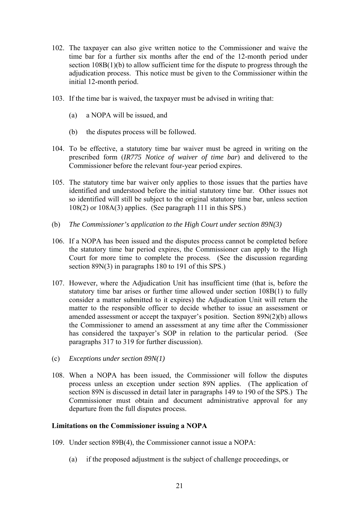- 102. The taxpayer can also give written notice to the Commissioner and waive the time bar for a further six months after the end of the 12-month period under section 108B(1)(b) to allow sufficient time for the dispute to progress through the adjudication process. This notice must be given to the Commissioner within the initial 12-month period.
- 103. If the time bar is waived, the taxpayer must be advised in writing that:
	- (a) a NOPA will be issued, and
	- (b) the disputes process will be followed.
- 104. To be effective, a statutory time bar waiver must be agreed in writing on the prescribed form (*IR775 Notice of waiver of time bar*) and delivered to the Commissioner before the relevant four-year period expires.
- 105. The statutory time bar waiver only applies to those issues that the parties have identified and understood before the initial statutory time bar. Other issues not so identified will still be subject to the original statutory time bar, unless section 108(2) or 108A(3) applies. (See paragraph 111 in this SPS.)
- (b) *The Commissioner's application to the High Court under section 89N(3)*
- 106. If a NOPA has been issued and the disputes process cannot be completed before the statutory time bar period expires, the Commissioner can apply to the High Court for more time to complete the process. (See the discussion regarding section 89N(3) in paragraphs 180 to 191 of this SPS.)
- 107. However, where the Adjudication Unit has insufficient time (that is, before the statutory time bar arises or further time allowed under section 108B(1) to fully consider a matter submitted to it expires) the Adjudication Unit will return the matter to the responsible officer to decide whether to issue an assessment or amended assessment or accept the taxpayer's position. Section 89N(2)(b) allows the Commissioner to amend an assessment at any time after the Commissioner has considered the taxpayer's SOP in relation to the particular period. (See paragraphs 317 to 319 for further discussion).
- (c) *Exceptions under section 89N(1)*
- 108. When a NOPA has been issued, the Commissioner will follow the disputes process unless an exception under section 89N applies. (The application of section 89N is discussed in detail later in paragraphs 149 to 190 of the SPS.) The Commissioner must obtain and document administrative approval for any departure from the full disputes process.

# **Limitations on the Commissioner issuing a NOPA**

- 109. Under section 89B(4), the Commissioner cannot issue a NOPA:
	- (a) if the proposed adjustment is the subject of challenge proceedings, or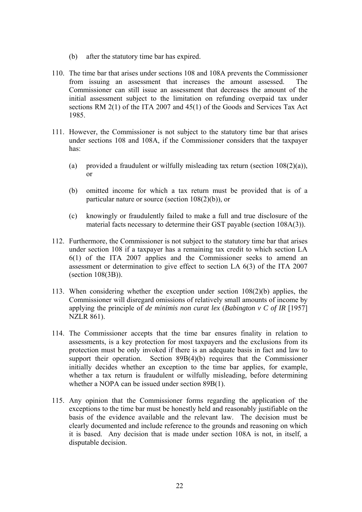- (b) after the statutory time bar has expired.
- 110. The time bar that arises under sections 108 and 108A prevents the Commissioner from issuing an assessment that increases the amount assessed. The Commissioner can still issue an assessment that decreases the amount of the initial assessment subject to the limitation on refunding overpaid tax under sections RM 2(1) of the ITA 2007 and 45(1) of the Goods and Services Tax Act 1985.
- 111. However, the Commissioner is not subject to the statutory time bar that arises under sections 108 and 108A, if the Commissioner considers that the taxpayer has:
	- (a) provided a fraudulent or wilfully misleading tax return (section  $108(2)(a)$ ), or
	- (b) omitted income for which a tax return must be provided that is of a particular nature or source (section 108(2)(b)), or
	- (c) knowingly or fraudulently failed to make a full and true disclosure of the material facts necessary to determine their GST payable (section 108A(3)).
- 112. Furthermore, the Commissioner is not subject to the statutory time bar that arises under section 108 if a taxpayer has a remaining tax credit to which section LA 6(1) of the ITA 2007 applies and the Commissioner seeks to amend an assessment or determination to give effect to section LA 6(3) of the ITA 2007 (section 108(3B)).
- 113. When considering whether the exception under section 108(2)(b) applies, the Commissioner will disregard omissions of relatively small amounts of income by applying the principle of *de minimis non curat lex* (*Babington v C of IR* [1957] NZLR 861).
- 114. The Commissioner accepts that the time bar ensures finality in relation to assessments, is a key protection for most taxpayers and the exclusions from its protection must be only invoked if there is an adequate basis in fact and law to support their operation. Section 89B(4)(b) requires that the Commissioner initially decides whether an exception to the time bar applies, for example, whether a tax return is fraudulent or wilfully misleading, before determining whether a NOPA can be issued under section 89B(1).
- 115. Any opinion that the Commissioner forms regarding the application of the exceptions to the time bar must be honestly held and reasonably justifiable on the basis of the evidence available and the relevant law. The decision must be clearly documented and include reference to the grounds and reasoning on which it is based. Any decision that is made under section 108A is not, in itself, a disputable decision.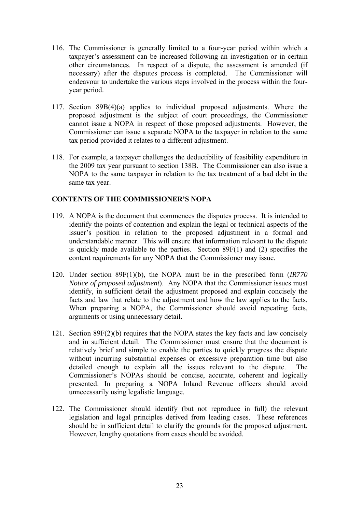- 116. The Commissioner is generally limited to a four-year period within which a taxpayer's assessment can be increased following an investigation or in certain other circumstances. In respect of a dispute, the assessment is amended (if necessary) after the disputes process is completed. The Commissioner will endeavour to undertake the various steps involved in the process within the fouryear period.
- 117. Section 89B(4)(a) applies to individual proposed adjustments. Where the proposed adjustment is the subject of court proceedings, the Commissioner cannot issue a NOPA in respect of those proposed adjustments. However, the Commissioner can issue a separate NOPA to the taxpayer in relation to the same tax period provided it relates to a different adjustment.
- 118. For example, a taxpayer challenges the deductibility of feasibility expenditure in the 2009 tax year pursuant to section 138B. The Commissioner can also issue a NOPA to the same taxpayer in relation to the tax treatment of a bad debt in the same tax year.

# **CONTENTS OF THE COMMISSIONER'S NOPA**

- 119. A NOPA is the document that commences the disputes process. It is intended to identify the points of contention and explain the legal or technical aspects of the issuer's position in relation to the proposed adjustment in a formal and understandable manner. This will ensure that information relevant to the dispute is quickly made available to the parties. Section 89F(1) and (2) specifies the content requirements for any NOPA that the Commissioner may issue.
- 120. Under section 89F(1)(b), the NOPA must be in the prescribed form (*IR770 Notice of proposed adjustment*). Any NOPA that the Commissioner issues must identify, in sufficient detail the adjustment proposed and explain concisely the facts and law that relate to the adjustment and how the law applies to the facts. When preparing a NOPA, the Commissioner should avoid repeating facts, arguments or using unnecessary detail.
- 121. Section 89F(2)(b) requires that the NOPA states the key facts and law concisely and in sufficient detail. The Commissioner must ensure that the document is relatively brief and simple to enable the parties to quickly progress the dispute without incurring substantial expenses or excessive preparation time but also detailed enough to explain all the issues relevant to the dispute. The Commissioner's NOPAs should be concise, accurate, coherent and logically presented. In preparing a NOPA Inland Revenue officers should avoid unnecessarily using legalistic language.
- 122. The Commissioner should identify (but not reproduce in full) the relevant legislation and legal principles derived from leading cases. These references should be in sufficient detail to clarify the grounds for the proposed adjustment. However, lengthy quotations from cases should be avoided.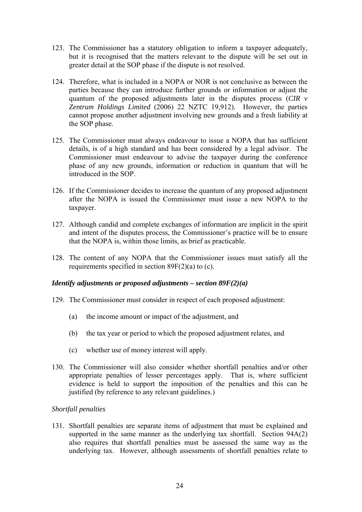- 123. The Commissioner has a statutory obligation to inform a taxpayer adequately, but it is recognised that the matters relevant to the dispute will be set out in greater detail at the SOP phase if the dispute is not resolved.
- 124. Therefore, what is included in a NOPA or NOR is not conclusive as between the parties because they can introduce further grounds or information or adjust the quantum of the proposed adjustments later in the disputes process (*CIR v Zentrum Holdings Limited* (2006) 22 NZTC 19,912). However, the parties cannot propose another adjustment involving new grounds and a fresh liability at the SOP phase.
- 125. The Commissioner must always endeavour to issue a NOPA that has sufficient details, is of a high standard and has been considered by a legal advisor. The Commissioner must endeavour to advise the taxpayer during the conference phase of any new grounds, information or reduction in quantum that will be introduced in the SOP.
- 126. If the Commissioner decides to increase the quantum of any proposed adjustment after the NOPA is issued the Commissioner must issue a new NOPA to the taxpayer.
- 127. Although candid and complete exchanges of information are implicit in the spirit and intent of the disputes process, the Commissioner's practice will be to ensure that the NOPA is, within those limits, as brief as practicable.
- 128. The content of any NOPA that the Commissioner issues must satisfy all the requirements specified in section 89F(2)(a) to (c).

# *Identify adjustments or proposed adjustments – section 89F(2)(a)*

- 129. The Commissioner must consider in respect of each proposed adjustment:
	- (a) the income amount or impact of the adjustment, and
	- (b) the tax year or period to which the proposed adjustment relates, and
	- (c) whether use of money interest will apply.
- 130. The Commissioner will also consider whether shortfall penalties and/or other appropriate penalties of lesser percentages apply. That is, where sufficient evidence is held to support the imposition of the penalties and this can be justified (by reference to any relevant guidelines.)

# *Shortfall penalties*

131. Shortfall penalties are separate items of adjustment that must be explained and supported in the same manner as the underlying tax shortfall. Section 94A(2) also requires that shortfall penalties must be assessed the same way as the underlying tax. However, although assessments of shortfall penalties relate to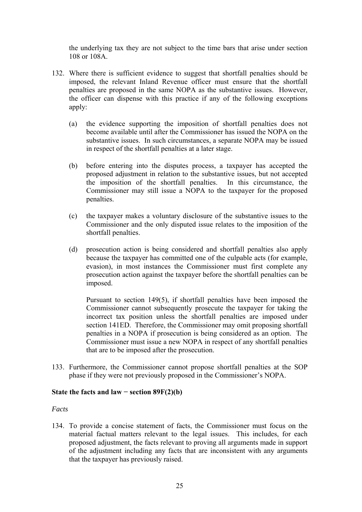the underlying tax they are not subject to the time bars that arise under section 108 or 108A.

- 132. Where there is sufficient evidence to suggest that shortfall penalties should be imposed, the relevant Inland Revenue officer must ensure that the shortfall penalties are proposed in the same NOPA as the substantive issues. However, the officer can dispense with this practice if any of the following exceptions apply:
	- (a) the evidence supporting the imposition of shortfall penalties does not become available until after the Commissioner has issued the NOPA on the substantive issues. In such circumstances, a separate NOPA may be issued in respect of the shortfall penalties at a later stage.
	- (b) before entering into the disputes process, a taxpayer has accepted the proposed adjustment in relation to the substantive issues, but not accepted the imposition of the shortfall penalties. In this circumstance, the Commissioner may still issue a NOPA to the taxpayer for the proposed penalties.
	- (c) the taxpayer makes a voluntary disclosure of the substantive issues to the Commissioner and the only disputed issue relates to the imposition of the shortfall penalties.
	- (d) prosecution action is being considered and shortfall penalties also apply because the taxpayer has committed one of the culpable acts (for example, evasion), in most instances the Commissioner must first complete any prosecution action against the taxpayer before the shortfall penalties can be imposed.

Pursuant to section 149(5), if shortfall penalties have been imposed the Commissioner cannot subsequently prosecute the taxpayer for taking the incorrect tax position unless the shortfall penalties are imposed under section 141ED. Therefore, the Commissioner may omit proposing shortfall penalties in a NOPA if prosecution is being considered as an option. The Commissioner must issue a new NOPA in respect of any shortfall penalties that are to be imposed after the prosecution.

133. Furthermore, the Commissioner cannot propose shortfall penalties at the SOP phase if they were not previously proposed in the Commissioner's NOPA.

# State the facts and  $law -$ **section 89F(2)(b)**

#### *Facts*

134. To provide a concise statement of facts, the Commissioner must focus on the material factual matters relevant to the legal issues. This includes, for each proposed adjustment, the facts relevant to proving all arguments made in support of the adjustment including any facts that are inconsistent with any arguments that the taxpayer has previously raised.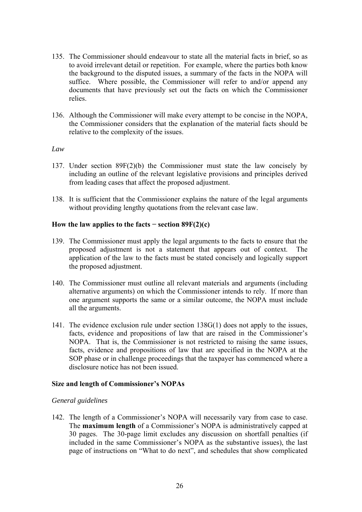- 135. The Commissioner should endeavour to state all the material facts in brief, so as to avoid irrelevant detail or repetition. For example, where the parties both know the background to the disputed issues, a summary of the facts in the NOPA will suffice. Where possible, the Commissioner will refer to and/or append any documents that have previously set out the facts on which the Commissioner relies.
- 136. Although the Commissioner will make every attempt to be concise in the NOPA, the Commissioner considers that the explanation of the material facts should be relative to the complexity of the issues.

# *Law*

- 137. Under section 89F(2)(b) the Commissioner must state the law concisely by including an outline of the relevant legislative provisions and principles derived from leading cases that affect the proposed adjustment.
- 138. It is sufficient that the Commissioner explains the nature of the legal arguments without providing lengthy quotations from the relevant case law.

# **How the law applies to the facts − section 89F(2)(c)**

- 139. The Commissioner must apply the legal arguments to the facts to ensure that the proposed adjustment is not a statement that appears out of context. The application of the law to the facts must be stated concisely and logically support the proposed adjustment.
- 140. The Commissioner must outline all relevant materials and arguments (including alternative arguments) on which the Commissioner intends to rely. If more than one argument supports the same or a similar outcome, the NOPA must include all the arguments.
- 141. The evidence exclusion rule under section 138G(1) does not apply to the issues, facts, evidence and propositions of law that are raised in the Commissioner's NOPA. That is, the Commissioner is not restricted to raising the same issues, facts, evidence and propositions of law that are specified in the NOPA at the SOP phase or in challenge proceedings that the taxpayer has commenced where a disclosure notice has not been issued.

# **Size and length of Commissioner's NOPAs**

# *General guidelines*

142. The length of a Commissioner's NOPA will necessarily vary from case to case. The **maximum length** of a Commissioner's NOPA is administratively capped at 30 pages. The 30-page limit excludes any discussion on shortfall penalties (if included in the same Commissioner's NOPA as the substantive issues), the last page of instructions on "What to do next", and schedules that show complicated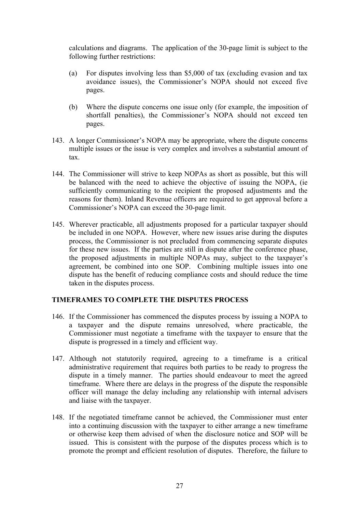calculations and diagrams. The application of the 30-page limit is subject to the following further restrictions:

- (a) For disputes involving less than \$5,000 of tax (excluding evasion and tax avoidance issues), the Commissioner's NOPA should not exceed five pages.
- (b) Where the dispute concerns one issue only (for example, the imposition of shortfall penalties), the Commissioner's NOPA should not exceed ten pages.
- 143. A longer Commissioner's NOPA may be appropriate, where the dispute concerns multiple issues or the issue is very complex and involves a substantial amount of tax.
- 144. The Commissioner will strive to keep NOPAs as short as possible, but this will be balanced with the need to achieve the objective of issuing the NOPA, (ie sufficiently communicating to the recipient the proposed adjustments and the reasons for them). Inland Revenue officers are required to get approval before a Commissioner's NOPA can exceed the 30-page limit.
- 145. Wherever practicable, all adjustments proposed for a particular taxpayer should be included in one NOPA. However, where new issues arise during the disputes process, the Commissioner is not precluded from commencing separate disputes for these new issues. If the parties are still in dispute after the conference phase, the proposed adjustments in multiple NOPAs may, subject to the taxpayer's agreement, be combined into one SOP. Combining multiple issues into one dispute has the benefit of reducing compliance costs and should reduce the time taken in the disputes process.

# **TIMEFRAMES TO COMPLETE THE DISPUTES PROCESS**

- 146. If the Commissioner has commenced the disputes process by issuing a NOPA to a taxpayer and the dispute remains unresolved, where practicable, the Commissioner must negotiate a timeframe with the taxpayer to ensure that the dispute is progressed in a timely and efficient way.
- 147. Although not statutorily required, agreeing to a timeframe is a critical administrative requirement that requires both parties to be ready to progress the dispute in a timely manner. The parties should endeavour to meet the agreed timeframe. Where there are delays in the progress of the dispute the responsible officer will manage the delay including any relationship with internal advisers and liaise with the taxpayer.
- 148. If the negotiated timeframe cannot be achieved, the Commissioner must enter into a continuing discussion with the taxpayer to either arrange a new timeframe or otherwise keep them advised of when the disclosure notice and SOP will be issued. This is consistent with the purpose of the disputes process which is to promote the prompt and efficient resolution of disputes. Therefore, the failure to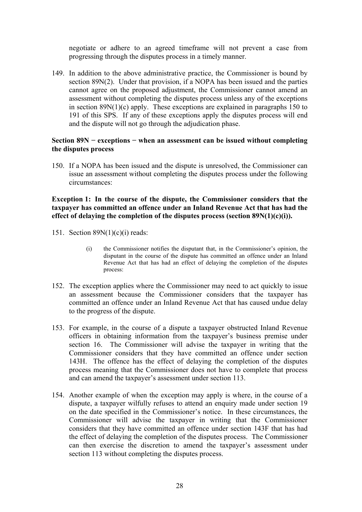negotiate or adhere to an agreed timeframe will not prevent a case from progressing through the disputes process in a timely manner.

149. In addition to the above administrative practice, the Commissioner is bound by section 89N(2). Under that provision, if a NOPA has been issued and the parties cannot agree on the proposed adjustment, the Commissioner cannot amend an assessment without completing the disputes process unless any of the exceptions in section 89N(1)(c) apply. These exceptions are explained in paragraphs 150 to 191 of this SPS. If any of these exceptions apply the disputes process will end and the dispute will not go through the adjudication phase.

# **Section 89N − exceptions − when an assessment can be issued without completing the disputes process**

150. If a NOPA has been issued and the dispute is unresolved, the Commissioner can issue an assessment without completing the disputes process under the following circumstances:

# **Exception 1: In the course of the dispute, the Commissioner considers that the taxpayer has committed an offence under an Inland Revenue Act that has had the effect of delaying the completion of the disputes process (section 89N(1)(c)(i)).**

- 151. Section 89N(1)(c)(i) reads:
	- (i) the Commissioner notifies the disputant that, in the Commissioner's opinion, the disputant in the course of the dispute has committed an offence under an Inland Revenue Act that has had an effect of delaying the completion of the disputes process:
- 152. The exception applies where the Commissioner may need to act quickly to issue an assessment because the Commissioner considers that the taxpayer has committed an offence under an Inland Revenue Act that has caused undue delay to the progress of the dispute.
- 153. For example, in the course of a dispute a taxpayer obstructed Inland Revenue officers in obtaining information from the taxpayer's business premise under section 16. The Commissioner will advise the taxpayer in writing that the Commissioner considers that they have committed an offence under section 143H. The offence has the effect of delaying the completion of the disputes process meaning that the Commissioner does not have to complete that process and can amend the taxpayer's assessment under section 113.
- 154. Another example of when the exception may apply is where, in the course of a dispute, a taxpayer wilfully refuses to attend an enquiry made under section 19 on the date specified in the Commissioner's notice. In these circumstances, the Commissioner will advise the taxpayer in writing that the Commissioner considers that they have committed an offence under section 143F that has had the effect of delaying the completion of the disputes process. The Commissioner can then exercise the discretion to amend the taxpayer's assessment under section 113 without completing the disputes process.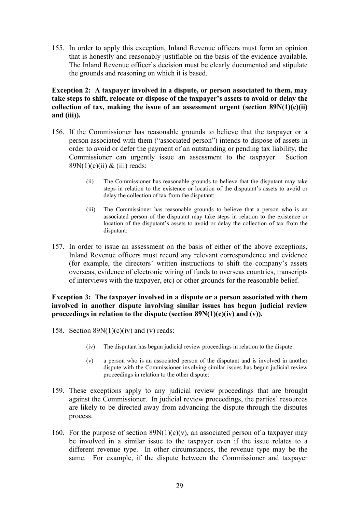155. In order to apply this exception, Inland Revenue officers must form an opinion that is honestly and reasonably justifiable on the basis of the evidence available. The Inland Revenue officer's decision must be clearly documented and stipulate the grounds and reasoning on which it is based.

**Exception 2: A taxpayer involved in a dispute, or person associated to them, may take steps to shift, relocate or dispose of the taxpayer's assets to avoid or delay the collection of tax, making the issue of an assessment urgent (section 89N(1)(c)(ii) and (iii)).** 

- 156. If the Commissioner has reasonable grounds to believe that the taxpayer or a person associated with them ("associated person") intends to dispose of assets in order to avoid or defer the payment of an outstanding or pending tax liability, the Commissioner can urgently issue an assessment to the taxpayer. Section  $89N(1)(c)(ii) & (iii) reads:$ 
	- (ii) The Commissioner has reasonable grounds to believe that the disputant may take steps in relation to the existence or location of the disputant's assets to avoid or delay the collection of tax from the disputant:
	- (iii) The Commissioner has reasonable grounds to believe that a person who is an associated person of the disputant may take steps in relation to the existence or location of the disputant's assets to avoid or delay the collection of tax from the disputant:
- 157. In order to issue an assessment on the basis of either of the above exceptions, Inland Revenue officers must record any relevant correspondence and evidence (for example, the directors' written instructions to shift the company's assets overseas, evidence of electronic wiring of funds to overseas countries, transcripts of interviews with the taxpayer, etc) or other grounds for the reasonable belief.

# **Exception 3: The taxpayer involved in a dispute or a person associated with them involved in another dispute involving similar issues has begun judicial review proceedings in relation to the dispute (section 89N(1)(c)(iv) and (v)).**

- 158. Section  $89N(1)(c)(iv)$  and (v) reads:
	- (iv) The disputant has begun judicial review proceedings in relation to the dispute:
	- (v) a person who is an associated person of the disputant and is involved in another dispute with the Commissioner involving similar issues has begun judicial review proceedings in relation to the other dispute:
- 159. These exceptions apply to any judicial review proceedings that are brought against the Commissioner. In judicial review proceedings, the parties' resources are likely to be directed away from advancing the dispute through the disputes process.
- 160. For the purpose of section  $89N(1)(c)(v)$ , an associated person of a taxpayer may be involved in a similar issue to the taxpayer even if the issue relates to a different revenue type. In other circumstances, the revenue type may be the same. For example, if the dispute between the Commissioner and taxpayer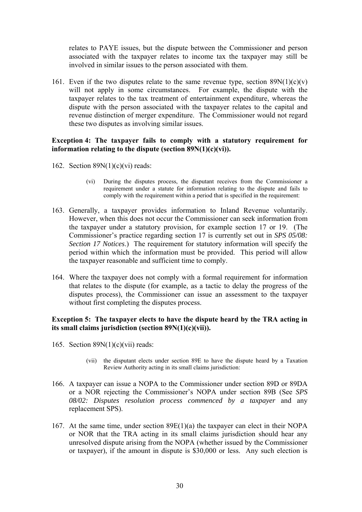relates to PAYE issues, but the dispute between the Commissioner and person associated with the taxpayer relates to income tax the taxpayer may still be involved in similar issues to the person associated with them.

161. Even if the two disputes relate to the same revenue type, section  $89N(1)(c)(v)$ will not apply in some circumstances. For example, the dispute with the taxpayer relates to the tax treatment of entertainment expenditure, whereas the dispute with the person associated with the taxpayer relates to the capital and revenue distinction of merger expenditure. The Commissioner would not regard these two disputes as involving similar issues.

# **Exception 4: The taxpayer fails to comply with a statutory requirement for information relating to the dispute (section 89N(1)(c)(vi)).**

- 162. Section  $89N(1)(c)(vi)$  reads:
	- (vi) During the disputes process, the disputant receives from the Commissioner a requirement under a statute for information relating to the dispute and fails to comply with the requirement within a period that is specified in the requirement:
- 163. Generally, a taxpayer provides information to Inland Revenue voluntarily. However, when this does not occur the Commissioner can seek information from the taxpayer under a statutory provision, for example section 17 or 19. (The Commissioner's practice regarding section 17 is currently set out in *SPS 05/08: Section 17 Notices*.) The requirement for statutory information will specify the period within which the information must be provided. This period will allow the taxpayer reasonable and sufficient time to comply.
- 164. Where the taxpayer does not comply with a formal requirement for information that relates to the dispute (for example, as a tactic to delay the progress of the disputes process), the Commissioner can issue an assessment to the taxpayer without first completing the disputes process.

# **Exception 5: The taxpayer elects to have the dispute heard by the TRA acting in its small claims jurisdiction (section 89N(1)(c)(vii)).**

- 165. Section  $89N(1)(c)(vi)$  reads:
	- (vii) the disputant elects under section 89E to have the dispute heard by a Taxation Review Authority acting in its small claims jurisdiction:
- 166. A taxpayer can issue a NOPA to the Commissioner under section 89D or 89DA or a NOR rejecting the Commissioner's NOPA under section 89B (See *SPS 08/02: Disputes resolution process commenced by a taxpayer* and any replacement SPS).
- 167. At the same time, under section 89E(1)(a) the taxpayer can elect in their NOPA or NOR that the TRA acting in its small claims jurisdiction should hear any unresolved dispute arising from the NOPA (whether issued by the Commissioner or taxpayer), if the amount in dispute is \$30,000 or less. Any such election is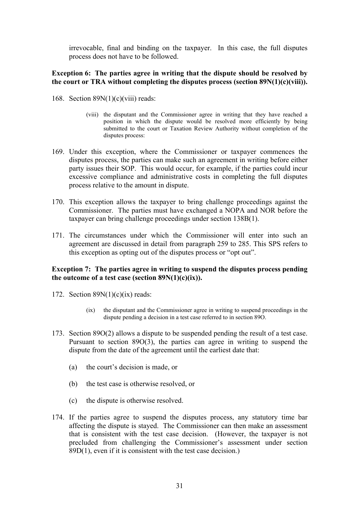irrevocable, final and binding on the taxpayer. In this case, the full disputes process does not have to be followed.

# **Exception 6: The parties agree in writing that the dispute should be resolved by the court or TRA without completing the disputes process (section 89N(1)(c)(viii)).**

- 168. Section  $89N(1)(c)(viii)$  reads:
	- (viii) the disputant and the Commissioner agree in writing that they have reached a position in which the dispute would be resolved more efficiently by being submitted to the court or Taxation Review Authority without completion of the disputes process:
- 169. Under this exception, where the Commissioner or taxpayer commences the disputes process, the parties can make such an agreement in writing before either party issues their SOP. This would occur, for example, if the parties could incur excessive compliance and administrative costs in completing the full disputes process relative to the amount in dispute.
- 170. This exception allows the taxpayer to bring challenge proceedings against the Commissioner. The parties must have exchanged a NOPA and NOR before the taxpayer can bring challenge proceedings under section 138B(1).
- 171. The circumstances under which the Commissioner will enter into such an agreement are discussed in detail from paragraph 259 to 285. This SPS refers to this exception as opting out of the disputes process or "opt out".

# **Exception 7: The parties agree in writing to suspend the disputes process pending the outcome of a test case (section 89N(1)(c)(ix)).**

- 172. Section  $89N(1)(c)(ix)$  reads:
	- (ix) the disputant and the Commissioner agree in writing to suspend proceedings in the dispute pending a decision in a test case referred to in section 89O.
- 173. Section 89O(2) allows a dispute to be suspended pending the result of a test case. Pursuant to section 89O(3), the parties can agree in writing to suspend the dispute from the date of the agreement until the earliest date that:
	- (a) the court's decision is made, or
	- (b) the test case is otherwise resolved, or
	- (c) the dispute is otherwise resolved.
- 174. If the parties agree to suspend the disputes process, any statutory time bar affecting the dispute is stayed. The Commissioner can then make an assessment that is consistent with the test case decision. (However, the taxpayer is not precluded from challenging the Commissioner's assessment under section 89D(1), even if it is consistent with the test case decision.)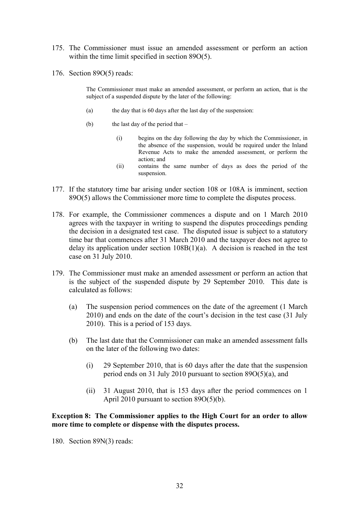- 175. The Commissioner must issue an amended assessment or perform an action within the time limit specified in section 89O(5).
- 176. Section 89O(5) reads:

The Commissioner must make an amended assessment, or perform an action, that is the subject of a suspended dispute by the later of the following:

- (a) the day that is 60 days after the last day of the suspension:
- (b) the last day of the period that  $-$ 
	- (i) begins on the day following the day by which the Commissioner, in the absence of the suspension, would be required under the Inland Revenue Acts to make the amended assessment, or perform the action; and
	- (ii) contains the same number of days as does the period of the suspension.
- 177. If the statutory time bar arising under section 108 or 108A is imminent, section 89O(5) allows the Commissioner more time to complete the disputes process.
- 178. For example, the Commissioner commences a dispute and on 1 March 2010 agrees with the taxpayer in writing to suspend the disputes proceedings pending the decision in a designated test case. The disputed issue is subject to a statutory time bar that commences after 31 March 2010 and the taxpayer does not agree to delay its application under section  $108B(1)(a)$ . A decision is reached in the test case on 31 July 2010.
- 179. The Commissioner must make an amended assessment or perform an action that is the subject of the suspended dispute by 29 September 2010. This date is calculated as follows:
	- (a) The suspension period commences on the date of the agreement (1 March 2010) and ends on the date of the court's decision in the test case (31 July 2010). This is a period of 153 days.
	- (b) The last date that the Commissioner can make an amended assessment falls on the later of the following two dates:
		- (i) 29 September 2010, that is 60 days after the date that the suspension period ends on 31 July 2010 pursuant to section 89O(5)(a), and
		- (ii) 31 August 2010, that is 153 days after the period commences on 1 April 2010 pursuant to section 89O(5)(b).

# **Exception 8: The Commissioner applies to the High Court for an order to allow more time to complete or dispense with the disputes process.**

180. Section 89N(3) reads: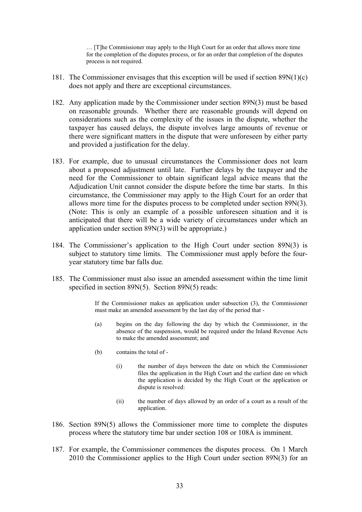… [T]he Commissioner may apply to the High Court for an order that allows more time for the completion of the disputes process, or for an order that completion of the disputes process is not required.

- 181. The Commissioner envisages that this exception will be used if section 89N(1)(c) does not apply and there are exceptional circumstances.
- 182. Any application made by the Commissioner under section 89N(3) must be based on reasonable grounds. Whether there are reasonable grounds will depend on considerations such as the complexity of the issues in the dispute, whether the taxpayer has caused delays, the dispute involves large amounts of revenue or there were significant matters in the dispute that were unforeseen by either party and provided a justification for the delay.
- 183. For example, due to unusual circumstances the Commissioner does not learn about a proposed adjustment until late. Further delays by the taxpayer and the need for the Commissioner to obtain significant legal advice means that the Adjudication Unit cannot consider the dispute before the time bar starts. In this circumstance, the Commissioner may apply to the High Court for an order that allows more time for the disputes process to be completed under section 89N(3). (Note: This is only an example of a possible unforeseen situation and it is anticipated that there will be a wide variety of circumstances under which an application under section 89N(3) will be appropriate.)
- 184. The Commissioner's application to the High Court under section 89N(3) is subject to statutory time limits. The Commissioner must apply before the fouryear statutory time bar falls due.
- 185. The Commissioner must also issue an amended assessment within the time limit specified in section 89N(5). Section 89N(5) reads:

If the Commissioner makes an application under subsection (3), the Commissioner must make an amended assessment by the last day of the period that -

- (a) begins on the day following the day by which the Commissioner, in the absence of the suspension, would be required under the Inland Revenue Acts to make the amended assessment; and
- (b) contains the total of
	- (i) the number of days between the date on which the Commissioner files the application in the High Court and the earliest date on which the application is decided by the High Court or the application or dispute is resolved:
	- (ii) the number of days allowed by an order of a court as a result of the application.
- 186. Section 89N(5) allows the Commissioner more time to complete the disputes process where the statutory time bar under section 108 or 108A is imminent.
- 187. For example, the Commissioner commences the disputes process. On 1 March 2010 the Commissioner applies to the High Court under section 89N(3) for an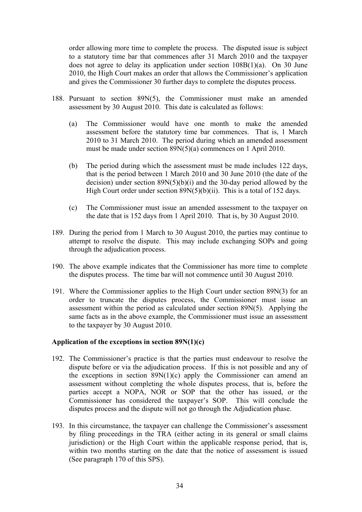order allowing more time to complete the process. The disputed issue is subject to a statutory time bar that commences after 31 March 2010 and the taxpayer does not agree to delay its application under section 108B(1)(a). On 30 June 2010, the High Court makes an order that allows the Commissioner's application and gives the Commissioner 30 further days to complete the disputes process.

- 188. Pursuant to section 89N(5), the Commissioner must make an amended assessment by 30 August 2010. This date is calculated as follows:
	- (a) The Commissioner would have one month to make the amended assessment before the statutory time bar commences. That is, 1 March 2010 to 31 March 2010. The period during which an amended assessment must be made under section 89N(5)(a) commences on 1 April 2010.
	- (b) The period during which the assessment must be made includes 122 days, that is the period between 1 March 2010 and 30 June 2010 (the date of the decision) under section  $89N(5)(b)(i)$  and the 30-day period allowed by the High Court order under section  $89N(5)(b)(ii)$ . This is a total of 152 days.
	- (c) The Commissioner must issue an amended assessment to the taxpayer on the date that is 152 days from 1 April 2010. That is, by 30 August 2010.
- 189. During the period from 1 March to 30 August 2010, the parties may continue to attempt to resolve the dispute. This may include exchanging SOPs and going through the adjudication process.
- 190. The above example indicates that the Commissioner has more time to complete the disputes process. The time bar will not commence until 30 August 2010.
- 191. Where the Commissioner applies to the High Court under section 89N(3) for an order to truncate the disputes process, the Commissioner must issue an assessment within the period as calculated under section 89N(5). Applying the same facts as in the above example, the Commissioner must issue an assessment to the taxpayer by 30 August 2010.

#### **Application of the exceptions in section 89N(1)(c)**

- 192. The Commissioner's practice is that the parties must endeavour to resolve the dispute before or via the adjudication process. If this is not possible and any of the exceptions in section  $89N(1)(c)$  apply the Commissioner can amend an assessment without completing the whole disputes process, that is, before the parties accept a NOPA, NOR or SOP that the other has issued, or the Commissioner has considered the taxpayer's SOP. This will conclude the disputes process and the dispute will not go through the Adjudication phase.
- 193. In this circumstance, the taxpayer can challenge the Commissioner's assessment by filing proceedings in the TRA (either acting in its general or small claims jurisdiction) or the High Court within the applicable response period, that is, within two months starting on the date that the notice of assessment is issued (See paragraph 170 of this SPS).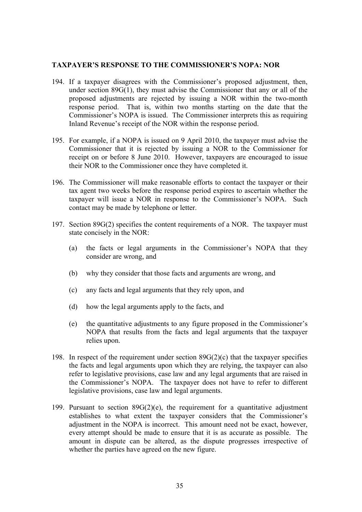#### **TAXPAYER'S RESPONSE TO THE COMMISSIONER'S NOPA: NOR**

- 194. If a taxpayer disagrees with the Commissioner's proposed adjustment, then, under section 89G(1), they must advise the Commissioner that any or all of the proposed adjustments are rejected by issuing a NOR within the two-month response period. That is, within two months starting on the date that the Commissioner's NOPA is issued. The Commissioner interprets this as requiring Inland Revenue's receipt of the NOR within the response period.
- 195. For example, if a NOPA is issued on 9 April 2010, the taxpayer must advise the Commissioner that it is rejected by issuing a NOR to the Commissioner for receipt on or before 8 June 2010. However, taxpayers are encouraged to issue their NOR to the Commissioner once they have completed it.
- 196. The Commissioner will make reasonable efforts to contact the taxpayer or their tax agent two weeks before the response period expires to ascertain whether the taxpayer will issue a NOR in response to the Commissioner's NOPA. Such contact may be made by telephone or letter.
- 197. Section 89G(2) specifies the content requirements of a NOR. The taxpayer must state concisely in the NOR:
	- (a) the facts or legal arguments in the Commissioner's NOPA that they consider are wrong, and
	- (b) why they consider that those facts and arguments are wrong, and
	- (c) any facts and legal arguments that they rely upon, and
	- (d) how the legal arguments apply to the facts, and
	- (e) the quantitative adjustments to any figure proposed in the Commissioner's NOPA that results from the facts and legal arguments that the taxpayer relies upon.
- 198. In respect of the requirement under section  $89G(2)(c)$  that the taxpayer specifies the facts and legal arguments upon which they are relying, the taxpayer can also refer to legislative provisions, case law and any legal arguments that are raised in the Commissioner's NOPA. The taxpayer does not have to refer to different legislative provisions, case law and legal arguments.
- 199. Pursuant to section  $89G(2)(e)$ , the requirement for a quantitative adjustment establishes to what extent the taxpayer considers that the Commissioner's adjustment in the NOPA is incorrect. This amount need not be exact, however, every attempt should be made to ensure that it is as accurate as possible. The amount in dispute can be altered, as the dispute progresses irrespective of whether the parties have agreed on the new figure.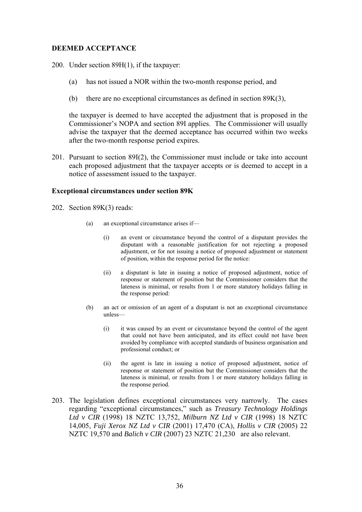# **DEEMED ACCEPTANCE**

200. Under section 89H(1), if the taxpayer:

- (a) has not issued a NOR within the two-month response period, and
- (b) there are no exceptional circumstances as defined in section 89K(3),

the taxpayer is deemed to have accepted the adjustment that is proposed in the Commissioner's NOPA and section 89I applies. The Commissioner will usually advise the taxpayer that the deemed acceptance has occurred within two weeks after the two-month response period expires.

201. Pursuant to section 89I(2), the Commissioner must include or take into account each proposed adjustment that the taxpayer accepts or is deemed to accept in a notice of assessment issued to the taxpayer.

#### **Exceptional circumstances under section 89K**

- 202. Section 89K(3) reads:
	- (a) an exceptional circumstance arises if—
		- (i) an event or circumstance beyond the control of a disputant provides the disputant with a reasonable justification for not rejecting a proposed adjustment, or for not issuing a notice of proposed adjustment or statement of position, within the response period for the notice:
		- (ii) a disputant is late in issuing a notice of proposed adjustment, notice of response or statement of position but the Commissioner considers that the lateness is minimal, or results from 1 or more statutory holidays falling in the response period:
	- (b) an act or omission of an agent of a disputant is not an exceptional circumstance unless—
		- (i) it was caused by an event or circumstance beyond the control of the agent that could not have been anticipated, and its effect could not have been avoided by compliance with accepted standards of business organisation and professional conduct; or
		- (ii) the agent is late in issuing a notice of proposed adjustment, notice of response or statement of position but the Commissioner considers that the lateness is minimal, or results from 1 or more statutory holidays falling in the response period.
- 203. The legislation defines exceptional circumstances very narrowly. The cases regarding "exceptional circumstances," such as *Treasury Technology Holdings Ltd v CIR* (1998) 18 NZTC 13,752, *Milburn NZ Ltd v CIR* (1998) 18 NZTC 14,005, *Fuji Xerox NZ Ltd v CIR* (2001) 17,470 (CA), *Hollis v CIR* (2005) 22 NZTC 19,570 and *Balich v CIR* (2007) 23 NZTC 21,230 are also relevant.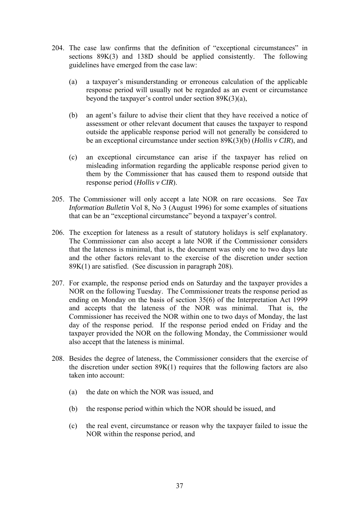- 204. The case law confirms that the definition of "exceptional circumstances" in sections 89K(3) and 138D should be applied consistently. The following guidelines have emerged from the case law:
	- (a) a taxpayer's misunderstanding or erroneous calculation of the applicable response period will usually not be regarded as an event or circumstance beyond the taxpayer's control under section 89K(3)(a),
	- (b) an agent's failure to advise their client that they have received a notice of assessment or other relevant document that causes the taxpayer to respond outside the applicable response period will not generally be considered to be an exceptional circumstance under section 89K(3)(b) (*Hollis v CIR*), and
	- (c) an exceptional circumstance can arise if the taxpayer has relied on misleading information regarding the applicable response period given to them by the Commissioner that has caused them to respond outside that response period (*Hollis v CIR*).
- 205. The Commissioner will only accept a late NOR on rare occasions. See *Tax Information Bulletin* Vol 8, No 3 (August 1996) for some examples of situations that can be an "exceptional circumstance" beyond a taxpayer's control.
- 206. The exception for lateness as a result of statutory holidays is self explanatory. The Commissioner can also accept a late NOR if the Commissioner considers that the lateness is minimal, that is, the document was only one to two days late and the other factors relevant to the exercise of the discretion under section 89K(1) are satisfied. (See discussion in paragraph 208).
- 207. For example, the response period ends on Saturday and the taxpayer provides a NOR on the following Tuesday. The Commissioner treats the response period as ending on Monday on the basis of section 35(6) of the Interpretation Act 1999 and accepts that the lateness of the NOR was minimal. That is, the Commissioner has received the NOR within one to two days of Monday, the last day of the response period. If the response period ended on Friday and the taxpayer provided the NOR on the following Monday, the Commissioner would also accept that the lateness is minimal.
- 208. Besides the degree of lateness, the Commissioner considers that the exercise of the discretion under section 89K(1) requires that the following factors are also taken into account:
	- (a) the date on which the NOR was issued, and
	- (b) the response period within which the NOR should be issued, and
	- (c) the real event, circumstance or reason why the taxpayer failed to issue the NOR within the response period, and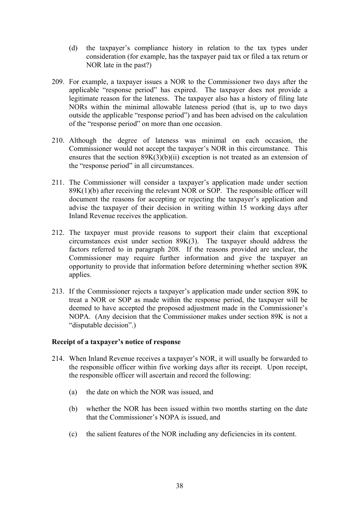- (d) the taxpayer's compliance history in relation to the tax types under consideration (for example, has the taxpayer paid tax or filed a tax return or NOR late in the past?)
- 209. For example, a taxpayer issues a NOR to the Commissioner two days after the applicable "response period" has expired. The taxpayer does not provide a legitimate reason for the lateness. The taxpayer also has a history of filing late NORs within the minimal allowable lateness period (that is, up to two days outside the applicable "response period") and has been advised on the calculation of the "response period" on more than one occasion.
- 210. Although the degree of lateness was minimal on each occasion, the Commissioner would not accept the taxpayer's NOR in this circumstance. This ensures that the section  $89K(3)(b)(ii)$  exception is not treated as an extension of the "response period" in all circumstances.
- 211. The Commissioner will consider a taxpayer's application made under section 89K(1)(b) after receiving the relevant NOR or SOP. The responsible officer will document the reasons for accepting or rejecting the taxpayer's application and advise the taxpayer of their decision in writing within 15 working days after Inland Revenue receives the application.
- 212. The taxpayer must provide reasons to support their claim that exceptional circumstances exist under section 89K(3). The taxpayer should address the factors referred to in paragraph 208. If the reasons provided are unclear, the Commissioner may require further information and give the taxpayer an opportunity to provide that information before determining whether section 89K applies.
- 213. If the Commissioner rejects a taxpayer's application made under section 89K to treat a NOR or SOP as made within the response period, the taxpayer will be deemed to have accepted the proposed adjustment made in the Commissioner's NOPA. (Any decision that the Commissioner makes under section 89K is not a "disputable decision".)

# **Receipt of a taxpayer's notice of response**

- 214. When Inland Revenue receives a taxpayer's NOR, it will usually be forwarded to the responsible officer within five working days after its receipt. Upon receipt, the responsible officer will ascertain and record the following:
	- (a) the date on which the NOR was issued, and
	- (b) whether the NOR has been issued within two months starting on the date that the Commissioner's NOPA is issued, and
	- (c) the salient features of the NOR including any deficiencies in its content.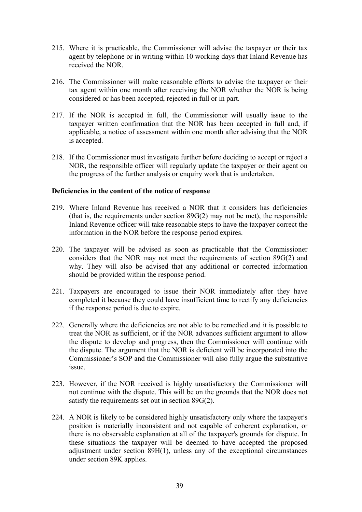- 215. Where it is practicable, the Commissioner will advise the taxpayer or their tax agent by telephone or in writing within 10 working days that Inland Revenue has received the NOR.
- 216. The Commissioner will make reasonable efforts to advise the taxpayer or their tax agent within one month after receiving the NOR whether the NOR is being considered or has been accepted, rejected in full or in part.
- 217. If the NOR is accepted in full, the Commissioner will usually issue to the taxpayer written confirmation that the NOR has been accepted in full and, if applicable, a notice of assessment within one month after advising that the NOR is accepted.
- 218. If the Commissioner must investigate further before deciding to accept or reject a NOR, the responsible officer will regularly update the taxpayer or their agent on the progress of the further analysis or enquiry work that is undertaken.

# **Deficiencies in the content of the notice of response**

- 219. Where Inland Revenue has received a NOR that it considers has deficiencies (that is, the requirements under section 89G(2) may not be met), the responsible Inland Revenue officer will take reasonable steps to have the taxpayer correct the information in the NOR before the response period expires.
- 220. The taxpayer will be advised as soon as practicable that the Commissioner considers that the NOR may not meet the requirements of section 89G(2) and why. They will also be advised that any additional or corrected information should be provided within the response period.
- 221. Taxpayers are encouraged to issue their NOR immediately after they have completed it because they could have insufficient time to rectify any deficiencies if the response period is due to expire.
- 222. Generally where the deficiencies are not able to be remedied and it is possible to treat the NOR as sufficient, or if the NOR advances sufficient argument to allow the dispute to develop and progress, then the Commissioner will continue with the dispute. The argument that the NOR is deficient will be incorporated into the Commissioner's SOP and the Commissioner will also fully argue the substantive issue.
- 223. However, if the NOR received is highly unsatisfactory the Commissioner will not continue with the dispute. This will be on the grounds that the NOR does not satisfy the requirements set out in section 89G(2).
- 224. A NOR is likely to be considered highly unsatisfactory only where the taxpayer's position is materially inconsistent and not capable of coherent explanation, or there is no observable explanation at all of the taxpayer's grounds for dispute. In these situations the taxpayer will be deemed to have accepted the proposed adjustment under section 89H(1), unless any of the exceptional circumstances under section 89K applies.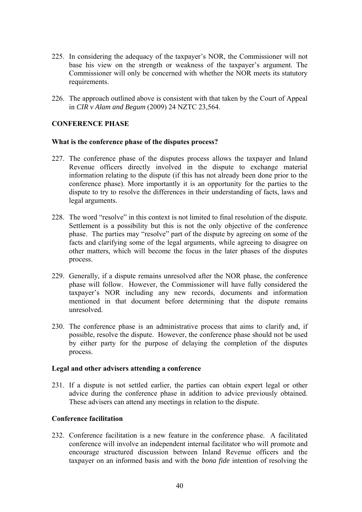- 225. In considering the adequacy of the taxpayer's NOR, the Commissioner will not base his view on the strength or weakness of the taxpayer's argument. The Commissioner will only be concerned with whether the NOR meets its statutory requirements.
- 226. The approach outlined above is consistent with that taken by the Court of Appeal in *CIR v Alam and Begum* (2009) 24 NZTC 23,564.

# **CONFERENCE PHASE**

#### **What is the conference phase of the disputes process?**

- 227. The conference phase of the disputes process allows the taxpayer and Inland Revenue officers directly involved in the dispute to exchange material information relating to the dispute (if this has not already been done prior to the conference phase). More importantly it is an opportunity for the parties to the dispute to try to resolve the differences in their understanding of facts, laws and legal arguments.
- 228. The word "resolve" in this context is not limited to final resolution of the dispute. Settlement is a possibility but this is not the only objective of the conference phase. The parties may "resolve" part of the dispute by agreeing on some of the facts and clarifying some of the legal arguments, while agreeing to disagree on other matters, which will become the focus in the later phases of the disputes process.
- 229. Generally, if a dispute remains unresolved after the NOR phase, the conference phase will follow. However, the Commissioner will have fully considered the taxpayer's NOR including any new records, documents and information mentioned in that document before determining that the dispute remains unresolved.
- 230. The conference phase is an administrative process that aims to clarify and, if possible, resolve the dispute. However, the conference phase should not be used by either party for the purpose of delaying the completion of the disputes process.

#### **Legal and other advisers attending a conference**

231. If a dispute is not settled earlier, the parties can obtain expert legal or other advice during the conference phase in addition to advice previously obtained. These advisers can attend any meetings in relation to the dispute.

# **Conference facilitation**

232. Conference facilitation is a new feature in the conference phase. A facilitated conference will involve an independent internal facilitator who will promote and encourage structured discussion between Inland Revenue officers and the taxpayer on an informed basis and with the *bona fide* intention of resolving the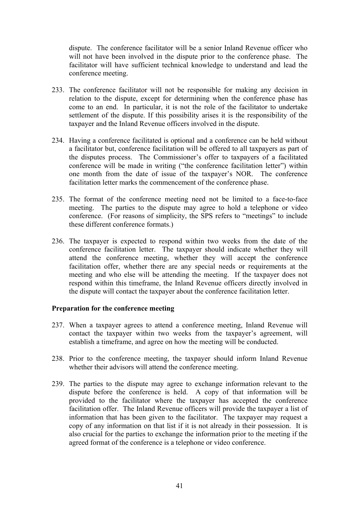dispute. The conference facilitator will be a senior Inland Revenue officer who will not have been involved in the dispute prior to the conference phase. The facilitator will have sufficient technical knowledge to understand and lead the conference meeting.

- 233. The conference facilitator will not be responsible for making any decision in relation to the dispute, except for determining when the conference phase has come to an end. In particular, it is not the role of the facilitator to undertake settlement of the dispute. If this possibility arises it is the responsibility of the taxpayer and the Inland Revenue officers involved in the dispute.
- 234. Having a conference facilitated is optional and a conference can be held without a facilitator but, conference facilitation will be offered to all taxpayers as part of the disputes process. The Commissioner's offer to taxpayers of a facilitated conference will be made in writing ("the conference facilitation letter") within one month from the date of issue of the taxpayer's NOR. The conference facilitation letter marks the commencement of the conference phase.
- 235. The format of the conference meeting need not be limited to a face-to-face meeting. The parties to the dispute may agree to hold a telephone or video conference. (For reasons of simplicity, the SPS refers to "meetings" to include these different conference formats.)
- 236. The taxpayer is expected to respond within two weeks from the date of the conference facilitation letter. The taxpayer should indicate whether they will attend the conference meeting, whether they will accept the conference facilitation offer, whether there are any special needs or requirements at the meeting and who else will be attending the meeting. If the taxpayer does not respond within this timeframe, the Inland Revenue officers directly involved in the dispute will contact the taxpayer about the conference facilitation letter.

# **Preparation for the conference meeting**

- 237. When a taxpayer agrees to attend a conference meeting, Inland Revenue will contact the taxpayer within two weeks from the taxpayer's agreement, will establish a timeframe, and agree on how the meeting will be conducted.
- 238. Prior to the conference meeting, the taxpayer should inform Inland Revenue whether their advisors will attend the conference meeting.
- 239. The parties to the dispute may agree to exchange information relevant to the dispute before the conference is held. A copy of that information will be provided to the facilitator where the taxpayer has accepted the conference facilitation offer. The Inland Revenue officers will provide the taxpayer a list of information that has been given to the facilitator. The taxpayer may request a copy of any information on that list if it is not already in their possession. It is also crucial for the parties to exchange the information prior to the meeting if the agreed format of the conference is a telephone or video conference.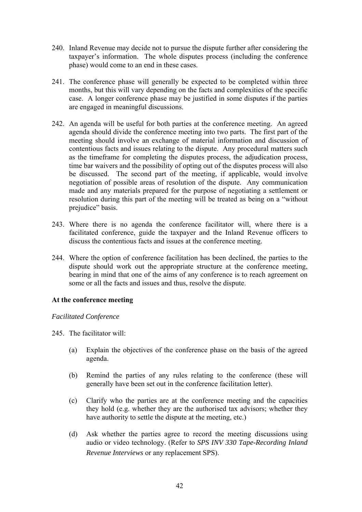- 240. Inland Revenue may decide not to pursue the dispute further after considering the taxpayer's information. The whole disputes process (including the conference phase) would come to an end in these cases.
- 241. The conference phase will generally be expected to be completed within three months, but this will vary depending on the facts and complexities of the specific case. A longer conference phase may be justified in some disputes if the parties are engaged in meaningful discussions.
- 242. An agenda will be useful for both parties at the conference meeting. An agreed agenda should divide the conference meeting into two parts. The first part of the meeting should involve an exchange of material information and discussion of contentious facts and issues relating to the dispute. Any procedural matters such as the timeframe for completing the disputes process, the adjudication process, time bar waivers and the possibility of opting out of the disputes process will also be discussed. The second part of the meeting, if applicable, would involve negotiation of possible areas of resolution of the dispute. Any communication made and any materials prepared for the purpose of negotiating a settlement or resolution during this part of the meeting will be treated as being on a "without prejudice" basis.
- 243. Where there is no agenda the conference facilitator will, where there is a facilitated conference, guide the taxpayer and the Inland Revenue officers to discuss the contentious facts and issues at the conference meeting.
- 244. Where the option of conference facilitation has been declined, the parties to the dispute should work out the appropriate structure at the conference meeting, bearing in mind that one of the aims of any conference is to reach agreement on some or all the facts and issues and thus, resolve the dispute.

# **At the conference meeting**

# *Facilitated Conference*

- 245. The facilitator will:
	- (a) Explain the objectives of the conference phase on the basis of the agreed agenda.
	- (b) Remind the parties of any rules relating to the conference (these will generally have been set out in the conference facilitation letter).
	- (c) Clarify who the parties are at the conference meeting and the capacities they hold (e.g. whether they are the authorised tax advisors; whether they have authority to settle the dispute at the meeting, etc.)
	- (d) Ask whether the parties agree to record the meeting discussions using audio or video technology. (Refer to *SPS INV 330 Tape-Recording Inland Revenue Interviews* or any replacement SPS).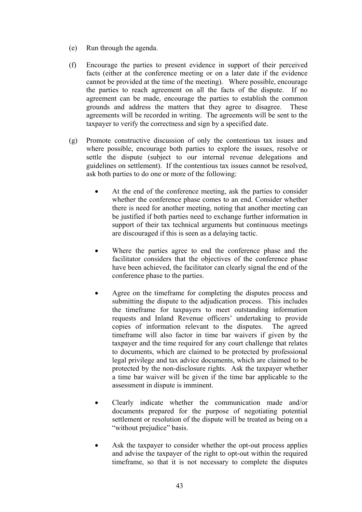- (e) Run through the agenda.
- (f) Encourage the parties to present evidence in support of their perceived facts (either at the conference meeting or on a later date if the evidence cannot be provided at the time of the meeting). Where possible, encourage the parties to reach agreement on all the facts of the dispute. If no agreement can be made, encourage the parties to establish the common grounds and address the matters that they agree to disagree. These agreements will be recorded in writing. The agreements will be sent to the taxpayer to verify the correctness and sign by a specified date.
- (g) Promote constructive discussion of only the contentious tax issues and where possible, encourage both parties to explore the issues, resolve or settle the dispute (subject to our internal revenue delegations and guidelines on settlement). If the contentious tax issues cannot be resolved, ask both parties to do one or more of the following:
	- At the end of the conference meeting, ask the parties to consider whether the conference phase comes to an end. Consider whether there is need for another meeting, noting that another meeting can be justified if both parties need to exchange further information in support of their tax technical arguments but continuous meetings are discouraged if this is seen as a delaying tactic.
	- Where the parties agree to end the conference phase and the facilitator considers that the objectives of the conference phase have been achieved, the facilitator can clearly signal the end of the conference phase to the parties.
	- Agree on the timeframe for completing the disputes process and submitting the dispute to the adjudication process. This includes the timeframe for taxpayers to meet outstanding information requests and Inland Revenue officers' undertaking to provide copies of information relevant to the disputes. The agreed timeframe will also factor in time bar waivers if given by the taxpayer and the time required for any court challenge that relates to documents, which are claimed to be protected by professional legal privilege and tax advice documents, which are claimed to be protected by the non-disclosure rights. Ask the taxpayer whether a time bar waiver will be given if the time bar applicable to the assessment in dispute is imminent.
	- Clearly indicate whether the communication made and/or documents prepared for the purpose of negotiating potential settlement or resolution of the dispute will be treated as being on a "without prejudice" basis.
	- Ask the taxpayer to consider whether the opt-out process applies and advise the taxpayer of the right to opt-out within the required timeframe, so that it is not necessary to complete the disputes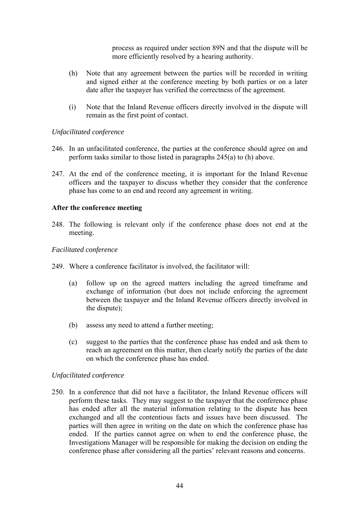process as required under section 89N and that the dispute will be more efficiently resolved by a hearing authority.

- (h) Note that any agreement between the parties will be recorded in writing and signed either at the conference meeting by both parties or on a later date after the taxpayer has verified the correctness of the agreement.
- (i) Note that the Inland Revenue officers directly involved in the dispute will remain as the first point of contact.

# *Unfacilitated conference*

- 246. In an unfacilitated conference, the parties at the conference should agree on and perform tasks similar to those listed in paragraphs 245(a) to (h) above.
- 247. At the end of the conference meeting, it is important for the Inland Revenue officers and the taxpayer to discuss whether they consider that the conference phase has come to an end and record any agreement in writing.

# **After the conference meeting**

248. The following is relevant only if the conference phase does not end at the meeting.

#### *Facilitated conference*

- 249. Where a conference facilitator is involved, the facilitator will:
	- (a) follow up on the agreed matters including the agreed timeframe and exchange of information (but does not include enforcing the agreement between the taxpayer and the Inland Revenue officers directly involved in the dispute);
	- (b) assess any need to attend a further meeting;
	- (c) suggest to the parties that the conference phase has ended and ask them to reach an agreement on this matter, then clearly notify the parties of the date on which the conference phase has ended.

#### *Unfacilitated conference*

250. In a conference that did not have a facilitator, the Inland Revenue officers will perform these tasks. They may suggest to the taxpayer that the conference phase has ended after all the material information relating to the dispute has been exchanged and all the contentious facts and issues have been discussed. The parties will then agree in writing on the date on which the conference phase has ended. If the parties cannot agree on when to end the conference phase, the Investigations Manager will be responsible for making the decision on ending the conference phase after considering all the parties' relevant reasons and concerns.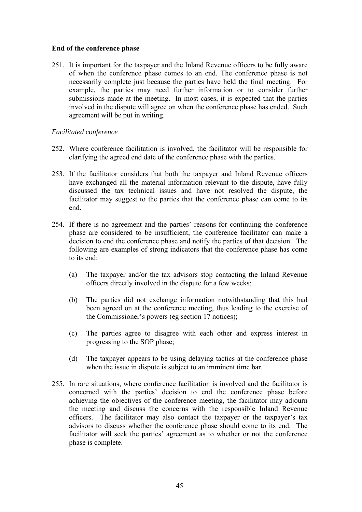# **End of the conference phase**

251. It is important for the taxpayer and the Inland Revenue officers to be fully aware of when the conference phase comes to an end. The conference phase is not necessarily complete just because the parties have held the final meeting. For example, the parties may need further information or to consider further submissions made at the meeting. In most cases, it is expected that the parties involved in the dispute will agree on when the conference phase has ended. Such agreement will be put in writing.

# *Facilitated conference*

- 252. Where conference facilitation is involved, the facilitator will be responsible for clarifying the agreed end date of the conference phase with the parties.
- 253. If the facilitator considers that both the taxpayer and Inland Revenue officers have exchanged all the material information relevant to the dispute, have fully discussed the tax technical issues and have not resolved the dispute, the facilitator may suggest to the parties that the conference phase can come to its end.
- 254. If there is no agreement and the parties' reasons for continuing the conference phase are considered to be insufficient, the conference facilitator can make a decision to end the conference phase and notify the parties of that decision. The following are examples of strong indicators that the conference phase has come to its end:
	- (a) The taxpayer and/or the tax advisors stop contacting the Inland Revenue officers directly involved in the dispute for a few weeks;
	- (b) The parties did not exchange information notwithstanding that this had been agreed on at the conference meeting, thus leading to the exercise of the Commissioner's powers (eg section 17 notices);
	- (c) The parties agree to disagree with each other and express interest in progressing to the SOP phase;
	- (d) The taxpayer appears to be using delaying tactics at the conference phase when the issue in dispute is subject to an imminent time bar.
- 255. In rare situations, where conference facilitation is involved and the facilitator is concerned with the parties' decision to end the conference phase before achieving the objectives of the conference meeting, the facilitator may adjourn the meeting and discuss the concerns with the responsible Inland Revenue officers. The facilitator may also contact the taxpayer or the taxpayer's tax advisors to discuss whether the conference phase should come to its end. The facilitator will seek the parties' agreement as to whether or not the conference phase is complete.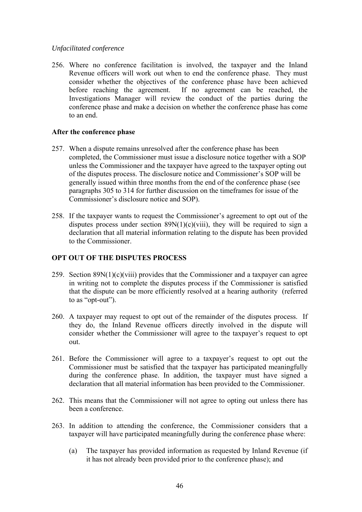# *Unfacilitated conference*

256. Where no conference facilitation is involved, the taxpayer and the Inland Revenue officers will work out when to end the conference phase. They must consider whether the objectives of the conference phase have been achieved before reaching the agreement. If no agreement can be reached, the Investigations Manager will review the conduct of the parties during the conference phase and make a decision on whether the conference phase has come to an end.

# **After the conference phase**

- 257. When a dispute remains unresolved after the conference phase has been completed, the Commissioner must issue a disclosure notice together with a SOP unless the Commissioner and the taxpayer have agreed to the taxpayer opting out of the disputes process. The disclosure notice and Commissioner's SOP will be generally issued within three months from the end of the conference phase (see paragraphs 305 to 314 for further discussion on the timeframes for issue of the Commissioner's disclosure notice and SOP).
- 258. If the taxpayer wants to request the Commissioner's agreement to opt out of the disputes process under section  $89N(1)(c)(viii)$ , they will be required to sign a declaration that all material information relating to the dispute has been provided to the Commissioner.

# **OPT OUT OF THE DISPUTES PROCESS**

- 259. Section  $89N(1)(c)(viii)$  provides that the Commissioner and a taxpayer can agree in writing not to complete the disputes process if the Commissioner is satisfied that the dispute can be more efficiently resolved at a hearing authority (referred to as "opt-out").
- 260. A taxpayer may request to opt out of the remainder of the disputes process. If they do, the Inland Revenue officers directly involved in the dispute will consider whether the Commissioner will agree to the taxpayer's request to opt out.
- 261. Before the Commissioner will agree to a taxpayer's request to opt out the Commissioner must be satisfied that the taxpayer has participated meaningfully during the conference phase. In addition, the taxpayer must have signed a declaration that all material information has been provided to the Commissioner.
- 262. This means that the Commissioner will not agree to opting out unless there has been a conference.
- 263. In addition to attending the conference, the Commissioner considers that a taxpayer will have participated meaningfully during the conference phase where:
	- (a) The taxpayer has provided information as requested by Inland Revenue (if it has not already been provided prior to the conference phase); and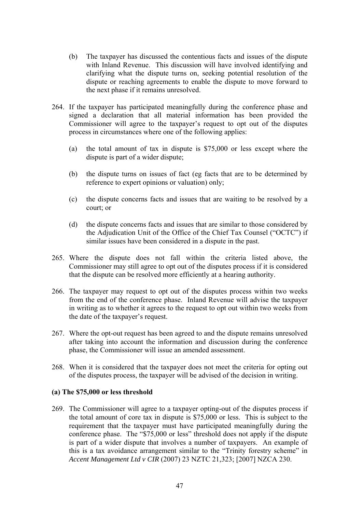- (b) The taxpayer has discussed the contentious facts and issues of the dispute with Inland Revenue. This discussion will have involved identifying and clarifying what the dispute turns on, seeking potential resolution of the dispute or reaching agreements to enable the dispute to move forward to the next phase if it remains unresolved.
- 264. If the taxpayer has participated meaningfully during the conference phase and signed a declaration that all material information has been provided the Commissioner will agree to the taxpayer's request to opt out of the disputes process in circumstances where one of the following applies:
	- (a) the total amount of tax in dispute is \$75,000 or less except where the dispute is part of a wider dispute;
	- (b) the dispute turns on issues of fact (eg facts that are to be determined by reference to expert opinions or valuation) only;
	- (c) the dispute concerns facts and issues that are waiting to be resolved by a court; or
	- (d) the dispute concerns facts and issues that are similar to those considered by the Adjudication Unit of the Office of the Chief Tax Counsel ("OCTC") if similar issues have been considered in a dispute in the past.
- 265. Where the dispute does not fall within the criteria listed above, the Commissioner may still agree to opt out of the disputes process if it is considered that the dispute can be resolved more efficiently at a hearing authority.
- 266. The taxpayer may request to opt out of the disputes process within two weeks from the end of the conference phase. Inland Revenue will advise the taxpayer in writing as to whether it agrees to the request to opt out within two weeks from the date of the taxpayer's request.
- 267. Where the opt-out request has been agreed to and the dispute remains unresolved after taking into account the information and discussion during the conference phase, the Commissioner will issue an amended assessment.
- 268. When it is considered that the taxpayer does not meet the criteria for opting out of the disputes process, the taxpayer will be advised of the decision in writing.

# **(a) The \$75,000 or less threshold**

269. The Commissioner will agree to a taxpayer opting-out of the disputes process if the total amount of core tax in dispute is \$75,000 or less. This is subject to the requirement that the taxpayer must have participated meaningfully during the conference phase. The "\$75,000 or less" threshold does not apply if the dispute is part of a wider dispute that involves a number of taxpayers. An example of this is a tax avoidance arrangement similar to the "Trinity forestry scheme" in *Accent Management Ltd v CIR* (2007) 23 NZTC 21,323; [2007] NZCA 230.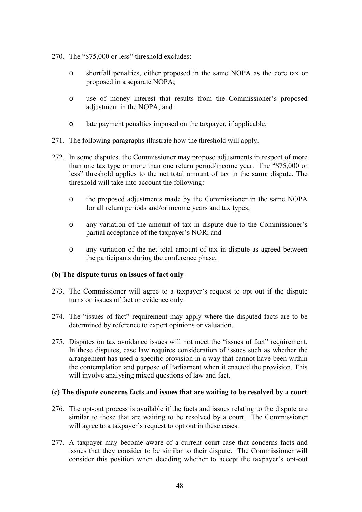- 270. The "\$75,000 or less" threshold excludes:
	- o shortfall penalties, either proposed in the same NOPA as the core tax or proposed in a separate NOPA;
	- o use of money interest that results from the Commissioner's proposed adjustment in the NOPA; and
	- o late payment penalties imposed on the taxpayer, if applicable.
- 271. The following paragraphs illustrate how the threshold will apply.
- 272. In some disputes, the Commissioner may propose adjustments in respect of more than one tax type or more than one return period/income year. The "\$75,000 or less" threshold applies to the net total amount of tax in the **same** dispute. The threshold will take into account the following:
	- o the proposed adjustments made by the Commissioner in the same NOPA for all return periods and/or income years and tax types;
	- o any variation of the amount of tax in dispute due to the Commissioner's partial acceptance of the taxpayer's NOR; and
	- o any variation of the net total amount of tax in dispute as agreed between the participants during the conference phase.

# **(b) The dispute turns on issues of fact only**

- 273. The Commissioner will agree to a taxpayer's request to opt out if the dispute turns on issues of fact or evidence only.
- 274. The "issues of fact" requirement may apply where the disputed facts are to be determined by reference to expert opinions or valuation.
- 275. Disputes on tax avoidance issues will not meet the "issues of fact" requirement. In these disputes, case law requires consideration of issues such as whether the arrangement has used a specific provision in a way that cannot have been within the contemplation and purpose of Parliament when it enacted the provision. This will involve analysing mixed questions of law and fact.

# **(c) The dispute concerns facts and issues that are waiting to be resolved by a court**

- 276. The opt-out process is available if the facts and issues relating to the dispute are similar to those that are waiting to be resolved by a court. The Commissioner will agree to a taxpayer's request to opt out in these cases.
- 277. A taxpayer may become aware of a current court case that concerns facts and issues that they consider to be similar to their dispute. The Commissioner will consider this position when deciding whether to accept the taxpayer's opt-out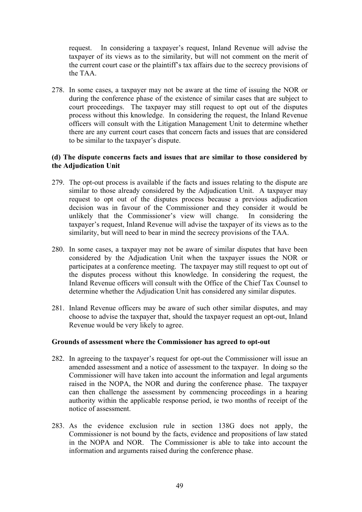request. In considering a taxpayer's request, Inland Revenue will advise the taxpayer of its views as to the similarity, but will not comment on the merit of the current court case or the plaintiff's tax affairs due to the secrecy provisions of the TAA.

278. In some cases, a taxpayer may not be aware at the time of issuing the NOR or during the conference phase of the existence of similar cases that are subject to court proceedings. The taxpayer may still request to opt out of the disputes process without this knowledge. In considering the request, the Inland Revenue officers will consult with the Litigation Management Unit to determine whether there are any current court cases that concern facts and issues that are considered to be similar to the taxpayer's dispute.

# **(d) The dispute concerns facts and issues that are similar to those considered by the Adjudication Unit**

- 279. The opt-out process is available if the facts and issues relating to the dispute are similar to those already considered by the Adjudication Unit. A taxpayer may request to opt out of the disputes process because a previous adjudication decision was in favour of the Commissioner and they consider it would be unlikely that the Commissioner's view will change. In considering the taxpayer's request, Inland Revenue will advise the taxpayer of its views as to the similarity, but will need to bear in mind the secrecy provisions of the TAA.
- 280. In some cases, a taxpayer may not be aware of similar disputes that have been considered by the Adjudication Unit when the taxpayer issues the NOR or participates at a conference meeting. The taxpayer may still request to opt out of the disputes process without this knowledge. In considering the request, the Inland Revenue officers will consult with the Office of the Chief Tax Counsel to determine whether the Adjudication Unit has considered any similar disputes.
- 281. Inland Revenue officers may be aware of such other similar disputes, and may choose to advise the taxpayer that, should the taxpayer request an opt-out, Inland Revenue would be very likely to agree.

#### **Grounds of assessment where the Commissioner has agreed to opt-out**

- 282. In agreeing to the taxpayer's request for opt-out the Commissioner will issue an amended assessment and a notice of assessment to the taxpayer. In doing so the Commissioner will have taken into account the information and legal arguments raised in the NOPA, the NOR and during the conference phase. The taxpayer can then challenge the assessment by commencing proceedings in a hearing authority within the applicable response period, ie two months of receipt of the notice of assessment.
- 283. As the evidence exclusion rule in section 138G does not apply, the Commissioner is not bound by the facts, evidence and propositions of law stated in the NOPA and NOR. The Commissioner is able to take into account the information and arguments raised during the conference phase.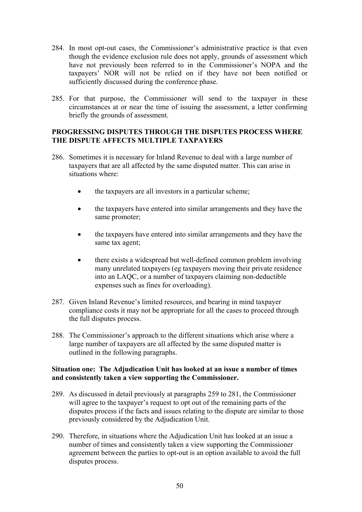- 284. In most opt-out cases, the Commissioner's administrative practice is that even though the evidence exclusion rule does not apply, grounds of assessment which have not previously been referred to in the Commissioner's NOPA and the taxpayers' NOR will not be relied on if they have not been notified or sufficiently discussed during the conference phase.
- 285. For that purpose, the Commissioner will send to the taxpayer in these circumstances at or near the time of issuing the assessment, a letter confirming briefly the grounds of assessment.

# **PROGRESSING DISPUTES THROUGH THE DISPUTES PROCESS WHERE THE DISPUTE AFFECTS MULTIPLE TAXPAYERS**

- 286. Sometimes it is necessary for Inland Revenue to deal with a large number of taxpayers that are all affected by the same disputed matter. This can arise in situations where:
	- the taxpayers are all investors in a particular scheme;
	- the taxpayers have entered into similar arrangements and they have the same promoter;
	- the taxpayers have entered into similar arrangements and they have the same tax agent;
	- there exists a widespread but well-defined common problem involving many unrelated taxpayers (eg taxpayers moving their private residence into an LAQC, or a number of taxpayers claiming non-deductible expenses such as fines for overloading).
- 287. Given Inland Revenue's limited resources, and bearing in mind taxpayer compliance costs it may not be appropriate for all the cases to proceed through the full disputes process.
- 288. The Commissioner's approach to the different situations which arise where a large number of taxpayers are all affected by the same disputed matter is outlined in the following paragraphs.

# **Situation one: The Adjudication Unit has looked at an issue a number of times and consistently taken a view supporting the Commissioner.**

- 289. As discussed in detail previously at paragraphs 259 to 281, the Commissioner will agree to the taxpayer's request to opt out of the remaining parts of the disputes process if the facts and issues relating to the dispute are similar to those previously considered by the Adjudication Unit.
- 290. Therefore, in situations where the Adjudication Unit has looked at an issue a number of times and consistently taken a view supporting the Commissioner agreement between the parties to opt-out is an option available to avoid the full disputes process.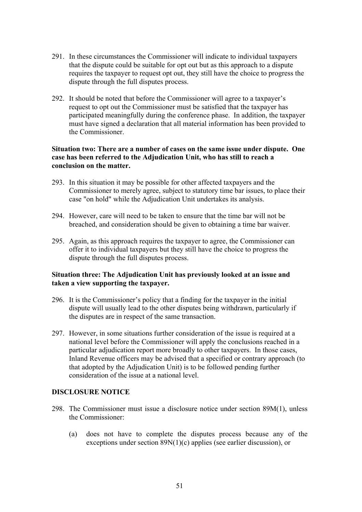- 291. In these circumstances the Commissioner will indicate to individual taxpayers that the dispute could be suitable for opt out but as this approach to a dispute requires the taxpayer to request opt out, they still have the choice to progress the dispute through the full disputes process.
- 292. It should be noted that before the Commissioner will agree to a taxpayer's request to opt out the Commissioner must be satisfied that the taxpayer has participated meaningfully during the conference phase. In addition, the taxpayer must have signed a declaration that all material information has been provided to the Commissioner.

# **Situation two: There are a number of cases on the same issue under dispute. One case has been referred to the Adjudication Unit, who has still to reach a conclusion on the matter.**

- 293. In this situation it may be possible for other affected taxpayers and the Commissioner to merely agree, subject to statutory time bar issues, to place their case "on hold" while the Adjudication Unit undertakes its analysis.
- 294. However, care will need to be taken to ensure that the time bar will not be breached, and consideration should be given to obtaining a time bar waiver.
- 295. Again, as this approach requires the taxpayer to agree, the Commissioner can offer it to individual taxpayers but they still have the choice to progress the dispute through the full disputes process.

# **Situation three: The Adjudication Unit has previously looked at an issue and taken a view supporting the taxpayer.**

- 296. It is the Commissioner's policy that a finding for the taxpayer in the initial dispute will usually lead to the other disputes being withdrawn, particularly if the disputes are in respect of the same transaction.
- 297. However, in some situations further consideration of the issue is required at a national level before the Commissioner will apply the conclusions reached in a particular adjudication report more broadly to other taxpayers. In those cases, Inland Revenue officers may be advised that a specified or contrary approach (to that adopted by the Adjudication Unit) is to be followed pending further consideration of the issue at a national level.

# **DISCLOSURE NOTICE**

- 298. The Commissioner must issue a disclosure notice under section 89M(1), unless the Commissioner:
	- (a) does not have to complete the disputes process because any of the exceptions under section 89N(1)(c) applies (see earlier discussion), or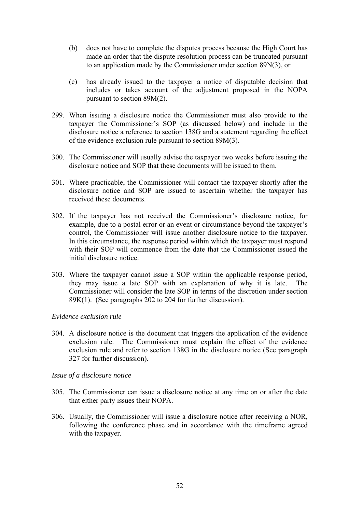- (b) does not have to complete the disputes process because the High Court has made an order that the dispute resolution process can be truncated pursuant to an application made by the Commissioner under section 89N(3), or
- (c) has already issued to the taxpayer a notice of disputable decision that includes or takes account of the adjustment proposed in the NOPA pursuant to section 89M(2).
- 299. When issuing a disclosure notice the Commissioner must also provide to the taxpayer the Commissioner's SOP (as discussed below) and include in the disclosure notice a reference to section 138G and a statement regarding the effect of the evidence exclusion rule pursuant to section 89M(3).
- 300. The Commissioner will usually advise the taxpayer two weeks before issuing the disclosure notice and SOP that these documents will be issued to them.
- 301. Where practicable, the Commissioner will contact the taxpayer shortly after the disclosure notice and SOP are issued to ascertain whether the taxpayer has received these documents.
- 302. If the taxpayer has not received the Commissioner's disclosure notice, for example, due to a postal error or an event or circumstance beyond the taxpayer's control, the Commissioner will issue another disclosure notice to the taxpayer. In this circumstance, the response period within which the taxpayer must respond with their SOP will commence from the date that the Commissioner issued the initial disclosure notice.
- 303. Where the taxpayer cannot issue a SOP within the applicable response period, they may issue a late SOP with an explanation of why it is late. The Commissioner will consider the late SOP in terms of the discretion under section 89K(1). (See paragraphs 202 to 204 for further discussion).

# *Evidence exclusion rule*

304. A disclosure notice is the document that triggers the application of the evidence exclusion rule. The Commissioner must explain the effect of the evidence exclusion rule and refer to section 138G in the disclosure notice (See paragraph 327 for further discussion).

#### *Issue of a disclosure notice*

- 305. The Commissioner can issue a disclosure notice at any time on or after the date that either party issues their NOPA.
- 306. Usually, the Commissioner will issue a disclosure notice after receiving a NOR, following the conference phase and in accordance with the timeframe agreed with the taxpayer.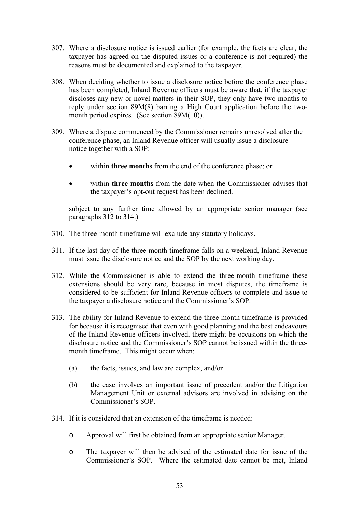- 307. Where a disclosure notice is issued earlier (for example, the facts are clear, the taxpayer has agreed on the disputed issues or a conference is not required) the reasons must be documented and explained to the taxpayer.
- 308. When deciding whether to issue a disclosure notice before the conference phase has been completed, Inland Revenue officers must be aware that, if the taxpayer discloses any new or novel matters in their SOP, they only have two months to reply under section 89M(8) barring a High Court application before the twomonth period expires. (See section 89M(10)).
- 309. Where a dispute commenced by the Commissioner remains unresolved after the conference phase, an Inland Revenue officer will usually issue a disclosure notice together with a SOP:
	- within **three months** from the end of the conference phase; or
	- within **three months** from the date when the Commissioner advises that the taxpayer's opt-out request has been declined.

subject to any further time allowed by an appropriate senior manager (see paragraphs 312 to 314.)

- 310. The three-month timeframe will exclude any statutory holidays.
- 311. If the last day of the three-month timeframe falls on a weekend, Inland Revenue must issue the disclosure notice and the SOP by the next working day.
- 312. While the Commissioner is able to extend the three-month timeframe these extensions should be very rare, because in most disputes, the timeframe is considered to be sufficient for Inland Revenue officers to complete and issue to the taxpayer a disclosure notice and the Commissioner's SOP.
- 313. The ability for Inland Revenue to extend the three-month timeframe is provided for because it is recognised that even with good planning and the best endeavours of the Inland Revenue officers involved, there might be occasions on which the disclosure notice and the Commissioner's SOP cannot be issued within the threemonth timeframe. This might occur when:
	- (a) the facts, issues, and law are complex, and/or
	- (b) the case involves an important issue of precedent and/or the Litigation Management Unit or external advisors are involved in advising on the Commissioner's SOP.
- 314. If it is considered that an extension of the timeframe is needed:
	- o Approval will first be obtained from an appropriate senior Manager.
	- o The taxpayer will then be advised of the estimated date for issue of the Commissioner's SOP. Where the estimated date cannot be met, Inland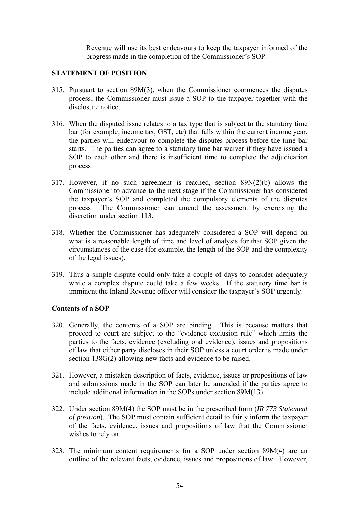Revenue will use its best endeavours to keep the taxpayer informed of the progress made in the completion of the Commissioner's SOP.

# **STATEMENT OF POSITION**

- 315. Pursuant to section 89M(3), when the Commissioner commences the disputes process, the Commissioner must issue a SOP to the taxpayer together with the disclosure notice.
- 316. When the disputed issue relates to a tax type that is subject to the statutory time bar (for example, income tax, GST, etc) that falls within the current income year, the parties will endeavour to complete the disputes process before the time bar starts. The parties can agree to a statutory time bar waiver if they have issued a SOP to each other and there is insufficient time to complete the adjudication process.
- 317. However, if no such agreement is reached, section 89N(2)(b) allows the Commissioner to advance to the next stage if the Commissioner has considered the taxpayer's SOP and completed the compulsory elements of the disputes process. The Commissioner can amend the assessment by exercising the discretion under section 113.
- 318. Whether the Commissioner has adequately considered a SOP will depend on what is a reasonable length of time and level of analysis for that SOP given the circumstances of the case (for example, the length of the SOP and the complexity of the legal issues).
- 319. Thus a simple dispute could only take a couple of days to consider adequately while a complex dispute could take a few weeks. If the statutory time bar is imminent the Inland Revenue officer will consider the taxpayer's SOP urgently.

# **Contents of a SOP**

- 320. Generally, the contents of a SOP are binding. This is because matters that proceed to court are subject to the "evidence exclusion rule" which limits the parties to the facts, evidence (excluding oral evidence), issues and propositions of law that either party discloses in their SOP unless a court order is made under section 138G(2) allowing new facts and evidence to be raised.
- 321. However, a mistaken description of facts, evidence, issues or propositions of law and submissions made in the SOP can later be amended if the parties agree to include additional information in the SOPs under section 89M(13).
- 322. Under section 89M(4) the SOP must be in the prescribed form (*IR 773 Statement of position*). The SOP must contain sufficient detail to fairly inform the taxpayer of the facts, evidence, issues and propositions of law that the Commissioner wishes to rely on.
- 323. The minimum content requirements for a SOP under section 89M(4) are an outline of the relevant facts, evidence, issues and propositions of law. However,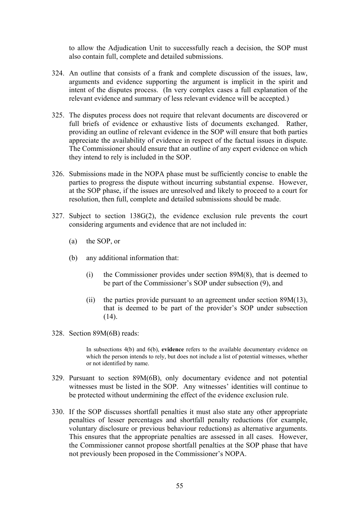to allow the Adjudication Unit to successfully reach a decision, the SOP must also contain full, complete and detailed submissions.

- 324. An outline that consists of a frank and complete discussion of the issues, law, arguments and evidence supporting the argument is implicit in the spirit and intent of the disputes process. (In very complex cases a full explanation of the relevant evidence and summary of less relevant evidence will be accepted.)
- 325. The disputes process does not require that relevant documents are discovered or full briefs of evidence or exhaustive lists of documents exchanged. Rather, providing an outline of relevant evidence in the SOP will ensure that both parties appreciate the availability of evidence in respect of the factual issues in dispute. The Commissioner should ensure that an outline of any expert evidence on which they intend to rely is included in the SOP.
- 326. Submissions made in the NOPA phase must be sufficiently concise to enable the parties to progress the dispute without incurring substantial expense. However, at the SOP phase, if the issues are unresolved and likely to proceed to a court for resolution, then full, complete and detailed submissions should be made.
- 327. Subject to section 138G(2), the evidence exclusion rule prevents the court considering arguments and evidence that are not included in:
	- (a) the SOP, or
	- (b) any additional information that:
		- (i) the Commissioner provides under section 89M(8), that is deemed to be part of the Commissioner's SOP under subsection (9), and
		- (ii) the parties provide pursuant to an agreement under section 89M(13), that is deemed to be part of the provider's SOP under subsection  $(14)$ .
- 328. Section 89M(6B) reads:

In subsections 4(b) and 6(b), **evidence** refers to the available documentary evidence on which the person intends to rely, but does not include a list of potential witnesses, whether or not identified by name.

- 329. Pursuant to section 89M(6B), only documentary evidence and not potential witnesses must be listed in the SOP. Any witnesses' identities will continue to be protected without undermining the effect of the evidence exclusion rule.
- 330. If the SOP discusses shortfall penalties it must also state any other appropriate penalties of lesser percentages and shortfall penalty reductions (for example, voluntary disclosure or previous behaviour reductions) as alternative arguments. This ensures that the appropriate penalties are assessed in all cases. However, the Commissioner cannot propose shortfall penalties at the SOP phase that have not previously been proposed in the Commissioner's NOPA.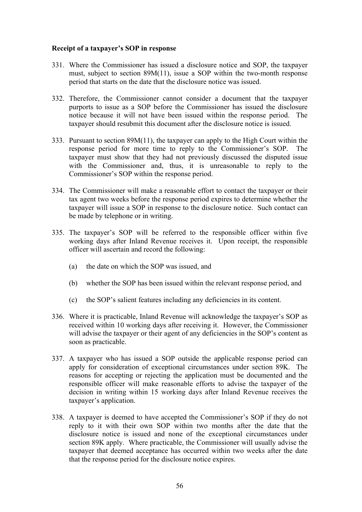# **Receipt of a taxpayer's SOP in response**

- 331. Where the Commissioner has issued a disclosure notice and SOP, the taxpayer must, subject to section 89M(11), issue a SOP within the two-month response period that starts on the date that the disclosure notice was issued.
- 332. Therefore, the Commissioner cannot consider a document that the taxpayer purports to issue as a SOP before the Commissioner has issued the disclosure notice because it will not have been issued within the response period. The taxpayer should resubmit this document after the disclosure notice is issued.
- 333. Pursuant to section 89M(11), the taxpayer can apply to the High Court within the response period for more time to reply to the Commissioner's SOP. The taxpayer must show that they had not previously discussed the disputed issue with the Commissioner and, thus, it is unreasonable to reply to the Commissioner's SOP within the response period.
- 334. The Commissioner will make a reasonable effort to contact the taxpayer or their tax agent two weeks before the response period expires to determine whether the taxpayer will issue a SOP in response to the disclosure notice. Such contact can be made by telephone or in writing.
- 335. The taxpayer's SOP will be referred to the responsible officer within five working days after Inland Revenue receives it. Upon receipt, the responsible officer will ascertain and record the following:
	- (a) the date on which the SOP was issued, and
	- (b) whether the SOP has been issued within the relevant response period, and
	- (c) the SOP's salient features including any deficiencies in its content.
- 336. Where it is practicable, Inland Revenue will acknowledge the taxpayer's SOP as received within 10 working days after receiving it. However, the Commissioner will advise the taxpayer or their agent of any deficiencies in the SOP's content as soon as practicable.
- 337. A taxpayer who has issued a SOP outside the applicable response period can apply for consideration of exceptional circumstances under section 89K. The reasons for accepting or rejecting the application must be documented and the responsible officer will make reasonable efforts to advise the taxpayer of the decision in writing within 15 working days after Inland Revenue receives the taxpayer's application.
- 338. A taxpayer is deemed to have accepted the Commissioner's SOP if they do not reply to it with their own SOP within two months after the date that the disclosure notice is issued and none of the exceptional circumstances under section 89K apply. Where practicable, the Commissioner will usually advise the taxpayer that deemed acceptance has occurred within two weeks after the date that the response period for the disclosure notice expires.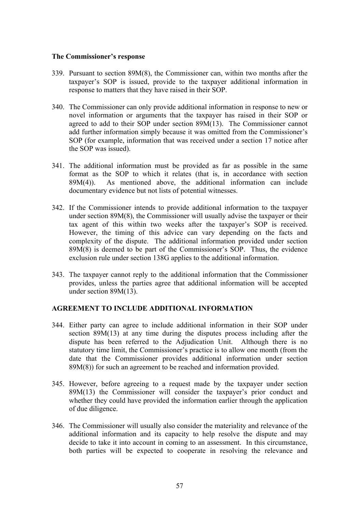#### **The Commissioner's response**

- 339. Pursuant to section 89M(8), the Commissioner can, within two months after the taxpayer's SOP is issued, provide to the taxpayer additional information in response to matters that they have raised in their SOP.
- 340. The Commissioner can only provide additional information in response to new or novel information or arguments that the taxpayer has raised in their SOP or agreed to add to their SOP under section 89M(13). The Commissioner cannot add further information simply because it was omitted from the Commissioner's SOP (for example, information that was received under a section 17 notice after the SOP was issued).
- 341. The additional information must be provided as far as possible in the same format as the SOP to which it relates (that is, in accordance with section 89M(4)). As mentioned above, the additional information can include documentary evidence but not lists of potential witnesses.
- 342. If the Commissioner intends to provide additional information to the taxpayer under section 89M(8), the Commissioner will usually advise the taxpayer or their tax agent of this within two weeks after the taxpayer's SOP is received. However, the timing of this advice can vary depending on the facts and complexity of the dispute. The additional information provided under section 89M(8) is deemed to be part of the Commissioner's SOP. Thus, the evidence exclusion rule under section 138G applies to the additional information.
- 343. The taxpayer cannot reply to the additional information that the Commissioner provides, unless the parties agree that additional information will be accepted under section 89M(13).

# **AGREEMENT TO INCLUDE ADDITIONAL INFORMATION**

- 344. Either party can agree to include additional information in their SOP under section 89M(13) at any time during the disputes process including after the dispute has been referred to the Adjudication Unit. Although there is no statutory time limit, the Commissioner's practice is to allow one month (from the date that the Commissioner provides additional information under section 89M(8)) for such an agreement to be reached and information provided.
- 345. However, before agreeing to a request made by the taxpayer under section 89M(13) the Commissioner will consider the taxpayer's prior conduct and whether they could have provided the information earlier through the application of due diligence.
- 346. The Commissioner will usually also consider the materiality and relevance of the additional information and its capacity to help resolve the dispute and may decide to take it into account in coming to an assessment. In this circumstance, both parties will be expected to cooperate in resolving the relevance and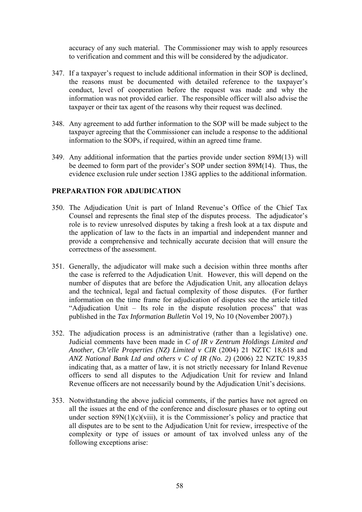accuracy of any such material. The Commissioner may wish to apply resources to verification and comment and this will be considered by the adjudicator.

- 347. If a taxpayer's request to include additional information in their SOP is declined, the reasons must be documented with detailed reference to the taxpayer's conduct, level of cooperation before the request was made and why the information was not provided earlier. The responsible officer will also advise the taxpayer or their tax agent of the reasons why their request was declined.
- 348. Any agreement to add further information to the SOP will be made subject to the taxpayer agreeing that the Commissioner can include a response to the additional information to the SOPs, if required, within an agreed time frame.
- 349. Any additional information that the parties provide under section 89M(13) will be deemed to form part of the provider's SOP under section 89M(14). Thus, the evidence exclusion rule under section 138G applies to the additional information.

# **PREPARATION FOR ADJUDICATION**

- 350. The Adjudication Unit is part of Inland Revenue's Office of the Chief Tax Counsel and represents the final step of the disputes process. The adjudicator's role is to review unresolved disputes by taking a fresh look at a tax dispute and the application of law to the facts in an impartial and independent manner and provide a comprehensive and technically accurate decision that will ensure the correctness of the assessment.
- 351. Generally, the adjudicator will make such a decision within three months after the case is referred to the Adjudication Unit. However, this will depend on the number of disputes that are before the Adjudication Unit, any allocation delays and the technical, legal and factual complexity of those disputes. (For further information on the time frame for adjudication of disputes see the article titled "Adjudication Unit – Its role in the dispute resolution process" that was published in the *Tax Information Bulletin* Vol 19, No 10 (November 2007).)
- 352. The adjudication process is an administrative (rather than a legislative) one. Judicial comments have been made in *C of IR v Zentrum Holdings Limited and Another, Ch'elle Properties (NZ) Limited v CIR* (2004) 21 NZTC 18,618 and *ANZ National Bank Ltd and others v C of IR (No. 2)* (2006) 22 NZTC 19,835 indicating that, as a matter of law, it is not strictly necessary for Inland Revenue officers to send all disputes to the Adjudication Unit for review and Inland Revenue officers are not necessarily bound by the Adjudication Unit's decisions.
- 353. Notwithstanding the above judicial comments, if the parties have not agreed on all the issues at the end of the conference and disclosure phases or to opting out under section  $89N(1)(c)(viii)$ , it is the Commissioner's policy and practice that all disputes are to be sent to the Adjudication Unit for review, irrespective of the complexity or type of issues or amount of tax involved unless any of the following exceptions arise: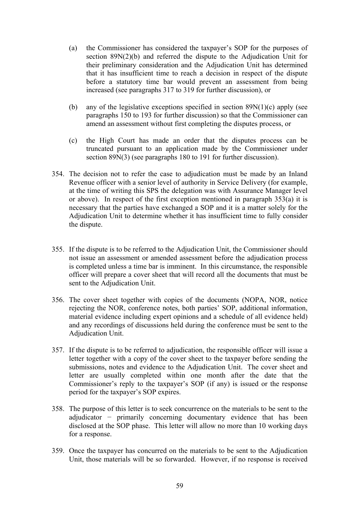- (a) the Commissioner has considered the taxpayer's SOP for the purposes of section 89N(2)(b) and referred the dispute to the Adjudication Unit for their preliminary consideration and the Adjudication Unit has determined that it has insufficient time to reach a decision in respect of the dispute before a statutory time bar would prevent an assessment from being increased (see paragraphs 317 to 319 for further discussion), or
- (b) any of the legislative exceptions specified in section  $89N(1)(c)$  apply (see paragraphs 150 to 193 for further discussion) so that the Commissioner can amend an assessment without first completing the disputes process, or
- (c) the High Court has made an order that the disputes process can be truncated pursuant to an application made by the Commissioner under section 89N(3) (see paragraphs 180 to 191 for further discussion).
- 354. The decision not to refer the case to adjudication must be made by an Inland Revenue officer with a senior level of authority in Service Delivery (for example, at the time of writing this SPS the delegation was with Assurance Manager level or above). In respect of the first exception mentioned in paragraph  $353(a)$  it is necessary that the parties have exchanged a SOP and it is a matter solely for the Adjudication Unit to determine whether it has insufficient time to fully consider the dispute.
- 355. If the dispute is to be referred to the Adjudication Unit, the Commissioner should not issue an assessment or amended assessment before the adjudication process is completed unless a time bar is imminent. In this circumstance, the responsible officer will prepare a cover sheet that will record all the documents that must be sent to the Adjudication Unit.
- 356. The cover sheet together with copies of the documents (NOPA, NOR, notice rejecting the NOR, conference notes, both parties' SOP, additional information, material evidence including expert opinions and a schedule of all evidence held) and any recordings of discussions held during the conference must be sent to the Adjudication Unit.
- 357. If the dispute is to be referred to adjudication, the responsible officer will issue a letter together with a copy of the cover sheet to the taxpayer before sending the submissions, notes and evidence to the Adjudication Unit. The cover sheet and letter are usually completed within one month after the date that the Commissioner's reply to the taxpayer's SOP (if any) is issued or the response period for the taxpayer's SOP expires.
- 358. The purpose of this letter is to seek concurrence on the materials to be sent to the adjudicator − primarily concerning documentary evidence that has been disclosed at the SOP phase. This letter will allow no more than 10 working days for a response.
- 359. Once the taxpayer has concurred on the materials to be sent to the Adjudication Unit, those materials will be so forwarded. However, if no response is received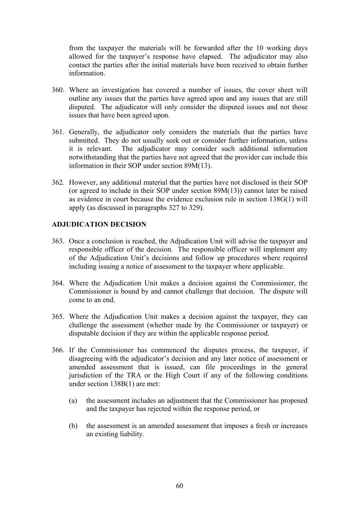from the taxpayer the materials will be forwarded after the 10 working days allowed for the taxpayer's response have elapsed. The adjudicator may also contact the parties after the initial materials have been received to obtain further information.

- 360. Where an investigation has covered a number of issues, the cover sheet will outline any issues that the parties have agreed upon and any issues that are still disputed. The adjudicator will only consider the disputed issues and not those issues that have been agreed upon.
- 361. Generally, the adjudicator only considers the materials that the parties have submitted. They do not usually seek out or consider further information, unless it is relevant. The adjudicator may consider such additional information notwithstanding that the parties have not agreed that the provider can include this information in their SOP under section 89M(13).
- 362. However, any additional material that the parties have not disclosed in their SOP (or agreed to include in their SOP under section 89M(13)) cannot later be raised as evidence in court because the evidence exclusion rule in section 138G(1) will apply (as discussed in paragraphs 327 to 329).

# **ADJUDICATION DECISION**

- 363. Once a conclusion is reached, the Adjudication Unit will advise the taxpayer and responsible officer of the decision. The responsible officer will implement any of the Adjudication Unit's decisions and follow up procedures where required including issuing a notice of assessment to the taxpayer where applicable.
- 364. Where the Adjudication Unit makes a decision against the Commissioner, the Commissioner is bound by and cannot challenge that decision. The dispute will come to an end.
- 365. Where the Adjudication Unit makes a decision against the taxpayer, they can challenge the assessment (whether made by the Commissioner or taxpayer) or disputable decision if they are within the applicable response period.
- 366. If the Commissioner has commenced the disputes process, the taxpayer, if disagreeing with the adjudicator's decision and any later notice of assessment or amended assessment that is issued, can file proceedings in the general jurisdiction of the TRA or the High Court if any of the following conditions under section 138B(1) are met:
	- (a) the assessment includes an adjustment that the Commissioner has proposed and the taxpayer has rejected within the response period, or
	- (b) the assessment is an amended assessment that imposes a fresh or increases an existing liability.